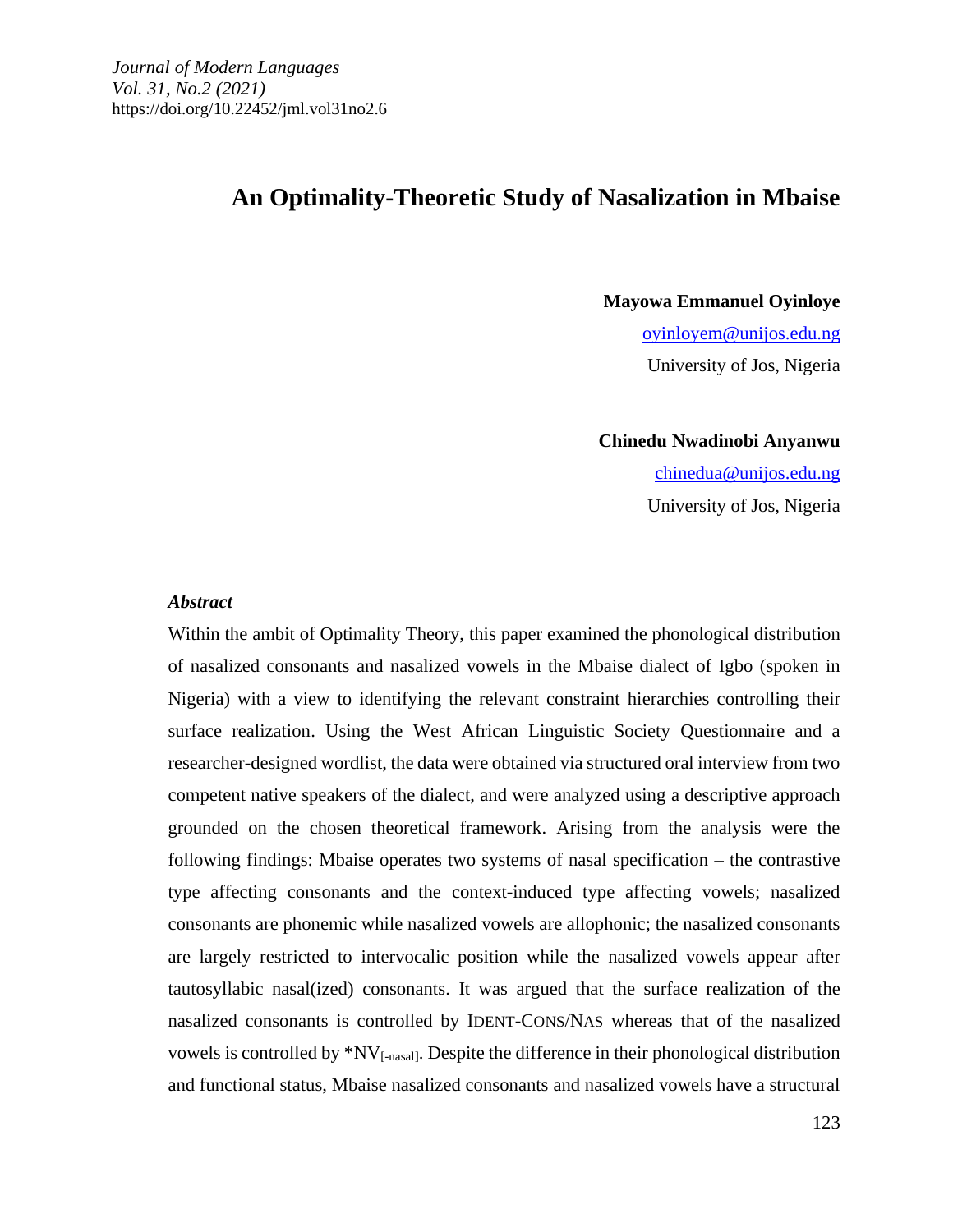# **An Optimality-Theoretic Study of Nasalization in Mbaise**

**Mayowa Emmanuel Oyinloye** [oyinloyem@unijos.edu.ng](mailto:oyinloyem@unijos.edu.ng) University of Jos, Nigeria

**Chinedu Nwadinobi Anyanwu** [chinedua@unijos.edu.ng](mailto:chinedua@unijos.edu.ng) University of Jos, Nigeria

#### *Abstract*

Within the ambit of Optimality Theory, this paper examined the phonological distribution of nasalized consonants and nasalized vowels in the Mbaise dialect of Igbo (spoken in Nigeria) with a view to identifying the relevant constraint hierarchies controlling their surface realization. Using the West African Linguistic Society Questionnaire and a researcher-designed wordlist, the data were obtained via structured oral interview from two competent native speakers of the dialect, and were analyzed using a descriptive approach grounded on the chosen theoretical framework. Arising from the analysis were the following findings: Mbaise operates two systems of nasal specification  $-$  the contrastive type affecting consonants and the context-induced type affecting vowels; nasalized consonants are phonemic while nasalized vowels are allophonic; the nasalized consonants are largely restricted to intervocalic position while the nasalized vowels appear after tautosyllabic nasal(ized) consonants. It was argued that the surface realization of the nasalized consonants is controlled by IDENT-CONS/NAS whereas that of the nasalized vowels is controlled by \*NV[-nasal]. Despite the difference in their phonological distribution and functional status, Mbaise nasalized consonants and nasalized vowels have a structural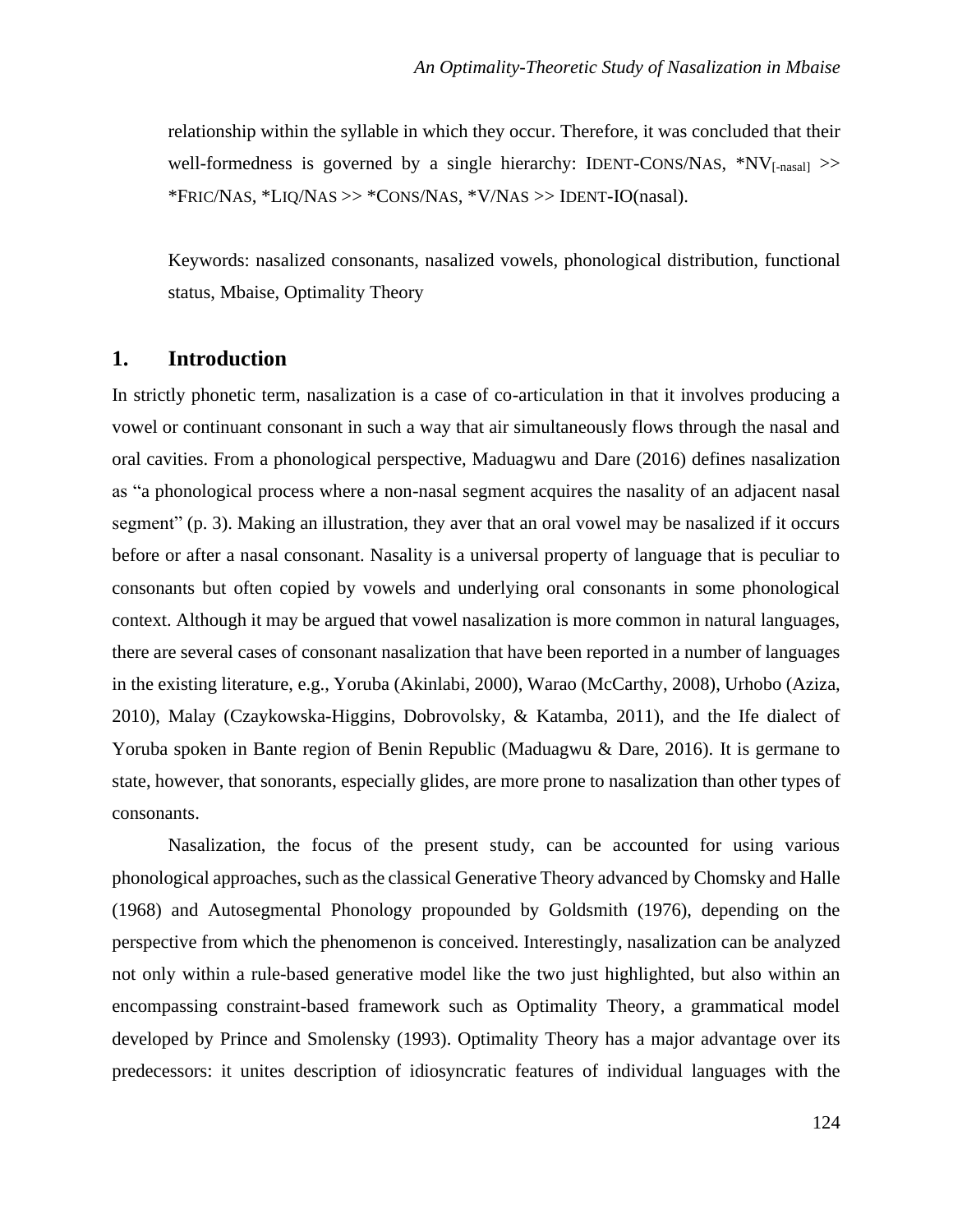relationship within the syllable in which they occur. Therefore, it was concluded that their well-formedness is governed by a single hierarchy: IDENT-CONS/NAS,  $*NV<sub>[-nasall</sub>$ \*FRIC/NAS, \*LIQ/NAS >> \*CONS/NAS, \*V/NAS >> IDENT-IO(nasal).

Keywords: nasalized consonants, nasalized vowels, phonological distribution, functional status, Mbaise, Optimality Theory

## **1. Introduction**

In strictly phonetic term, nasalization is a case of co-articulation in that it involves producing a vowel or continuant consonant in such a way that air simultaneously flows through the nasal and oral cavities. From a phonological perspective, Maduagwu and Dare (2016) defines nasalization as "a phonological process where a non-nasal segment acquires the nasality of an adjacent nasal segment" (p. 3). Making an illustration, they aver that an oral vowel may be nasalized if it occurs before or after a nasal consonant. Nasality is a universal property of language that is peculiar to consonants but often copied by vowels and underlying oral consonants in some phonological context. Although it may be argued that vowel nasalization is more common in natural languages, there are several cases of consonant nasalization that have been reported in a number of languages in the existing literature, e.g., Yoruba (Akinlabi, 2000), Warao (McCarthy, 2008), Urhobo (Aziza, 2010), Malay (Czaykowska-Higgins, Dobrovolsky, & Katamba, 2011), and the Ife dialect of Yoruba spoken in Bante region of Benin Republic (Maduagwu & Dare, 2016). It is germane to state, however, that sonorants, especially glides, are more prone to nasalization than other types of consonants.

Nasalization, the focus of the present study, can be accounted for using various phonological approaches, such as the classical Generative Theory advanced by Chomsky and Halle (1968) and Autosegmental Phonology propounded by Goldsmith (1976), depending on the perspective from which the phenomenon is conceived. Interestingly, nasalization can be analyzed not only within a rule-based generative model like the two just highlighted, but also within an encompassing constraint-based framework such as Optimality Theory, a grammatical model developed by Prince and Smolensky (1993). Optimality Theory has a major advantage over its predecessors: it unites description of idiosyncratic features of individual languages with the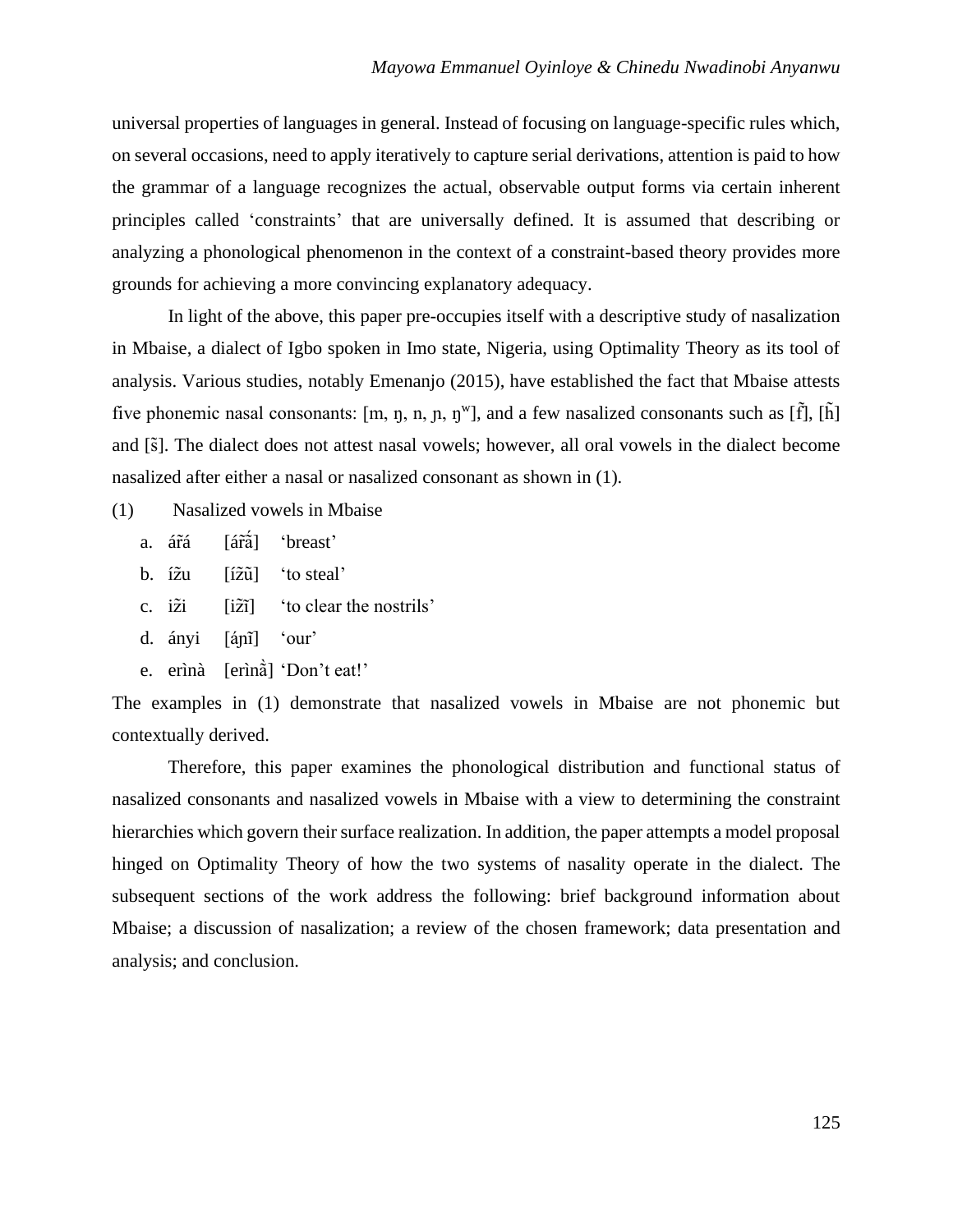universal properties of languages in general. Instead of focusing on language-specific rules which, on several occasions, need to apply iteratively to capture serial derivations, attention is paid to how the grammar of a language recognizes the actual, observable output forms via certain inherent principles called 'constraints' that are universally defined. It is assumed that describing or analyzing a phonological phenomenon in the context of a constraint-based theory provides more grounds for achieving a more convincing explanatory adequacy.

In light of the above, this paper pre-occupies itself with a descriptive study of nasalization in Mbaise, a dialect of Igbo spoken in Imo state, Nigeria, using Optimality Theory as its tool of analysis. Various studies, notably Emenanjo (2015), have established the fact that Mbaise attests five phonemic nasal consonants:  $[m, \eta, n, n, \eta^w]$ , and a few nasalized consonants such as  $[\tilde{f}]$ ,  $[\tilde{h}]$ and [s]. The dialect does not attest nasal vowels; however, all oral vowels in the dialect become nasalized after either a nasal or nasalized consonant as shown in (1).

- (1) Nasalized vowels in Mbaise
	- a. ár͂á [ár͂a͂͂́] 'breast'
	- b. íz̃u [íz̄ū̃] 'to steal'
	- c.  $i\tilde{z}i$  [ $i\tilde{z}i$ ] 'to clear the nostrils'
	- d. ányi [áɲi͂] 'our'
	- e. erìnà [erìnã ̃̀] 'Don't eat!'

The examples in (1) demonstrate that nasalized vowels in Mbaise are not phonemic but contextually derived.

Therefore, this paper examines the phonological distribution and functional status of nasalized consonants and nasalized vowels in Mbaise with a view to determining the constraint hierarchies which govern their surface realization. In addition, the paper attempts a model proposal hinged on Optimality Theory of how the two systems of nasality operate in the dialect. The subsequent sections of the work address the following: brief background information about Mbaise; a discussion of nasalization; a review of the chosen framework; data presentation and analysis; and conclusion.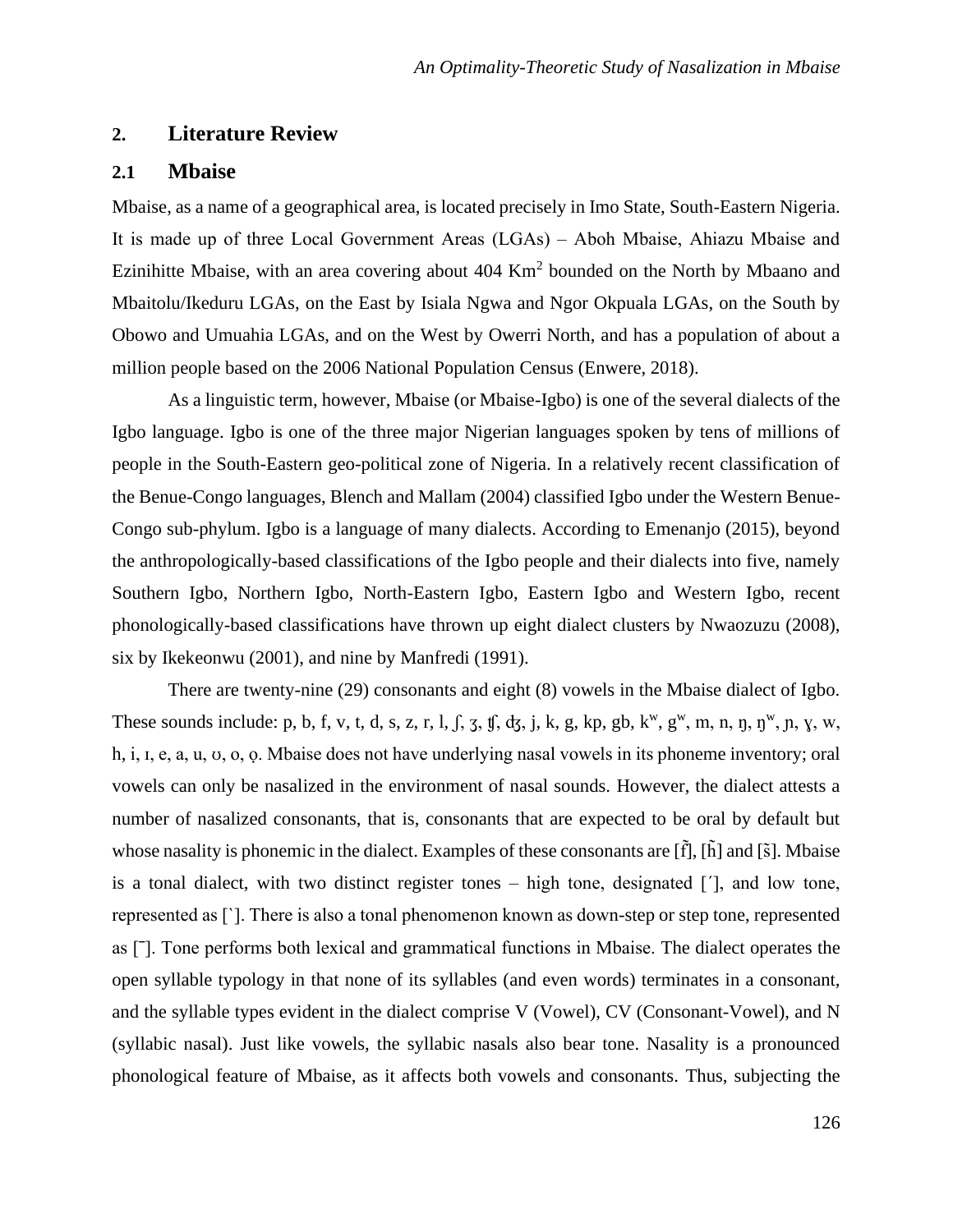## **2. Literature Review**

### **2.1 Mbaise**

Mbaise, as a name of a geographical area, is located precisely in Imo State, South-Eastern Nigeria. It is made up of three Local Government Areas (LGAs) ‒ Aboh Mbaise, Ahiazu Mbaise and Ezinihitte Mbaise, with an area covering about  $404 \text{ Km}^2$  bounded on the North by Mbaano and Mbaitolu/Ikeduru LGAs, on the East by Isiala Ngwa and Ngor Okpuala LGAs, on the South by Obowo and Umuahia LGAs, and on the West by Owerri North, and has a population of about a million people based on the 2006 National Population Census (Enwere, 2018).

As a linguistic term, however, Mbaise (or Mbaise-Igbo) is one of the several dialects of the Igbo language. Igbo is one of the three major Nigerian languages spoken by tens of millions of people in the South-Eastern geo-political zone of Nigeria. In a relatively recent classification of the Benue-Congo languages, Blench and Mallam (2004) classified Igbo under the Western Benue-Congo sub-phylum. Igbo is a language of many dialects. According to Emenanjo (2015), beyond the anthropologically-based classifications of the Igbo people and their dialects into five, namely Southern Igbo, Northern Igbo, North-Eastern Igbo, Eastern Igbo and Western Igbo, recent phonologically-based classifications have thrown up eight dialect clusters by Nwaozuzu (2008), six by Ikekeonwu (2001), and nine by Manfredi (1991).

There are twenty-nine (29) consonants and eight (8) vowels in the Mbaise dialect of Igbo. These sounds include: p, b, f, v, t, d, s, z, r, l, f, z, ff, dz, j, k, g, kp, gb, k<sup>w</sup>, g<sup>w</sup>, m, n, ŋ, ŋ<sup>w</sup>, n, ɣ, w, h, i, I, e, a, u, v, o, o. Mbaise does not have underlying nasal vowels in its phoneme inventory; oral vowels can only be nasalized in the environment of nasal sounds. However, the dialect attests a number of nasalized consonants, that is, consonants that are expected to be oral by default but whose nasality is phonemic in the dialect. Examples of these consonants are  $[\tilde{f}]$ ,  $[\tilde{h}]$  and  $[\tilde{s}]$ . Mbaise is a tonal dialect, with two distinct register tones – high tone, designated [ˊ], and low tone, represented as [ˋ]. There is also a tonal phenomenon known as down-step or step tone, represented as [ˉ]. Tone performs both lexical and grammatical functions in Mbaise. The dialect operates the open syllable typology in that none of its syllables (and even words) terminates in a consonant, and the syllable types evident in the dialect comprise V (Vowel), CV (Consonant-Vowel), and N (syllabic nasal). Just like vowels, the syllabic nasals also bear tone. Nasality is a pronounced phonological feature of Mbaise, as it affects both vowels and consonants. Thus, subjecting the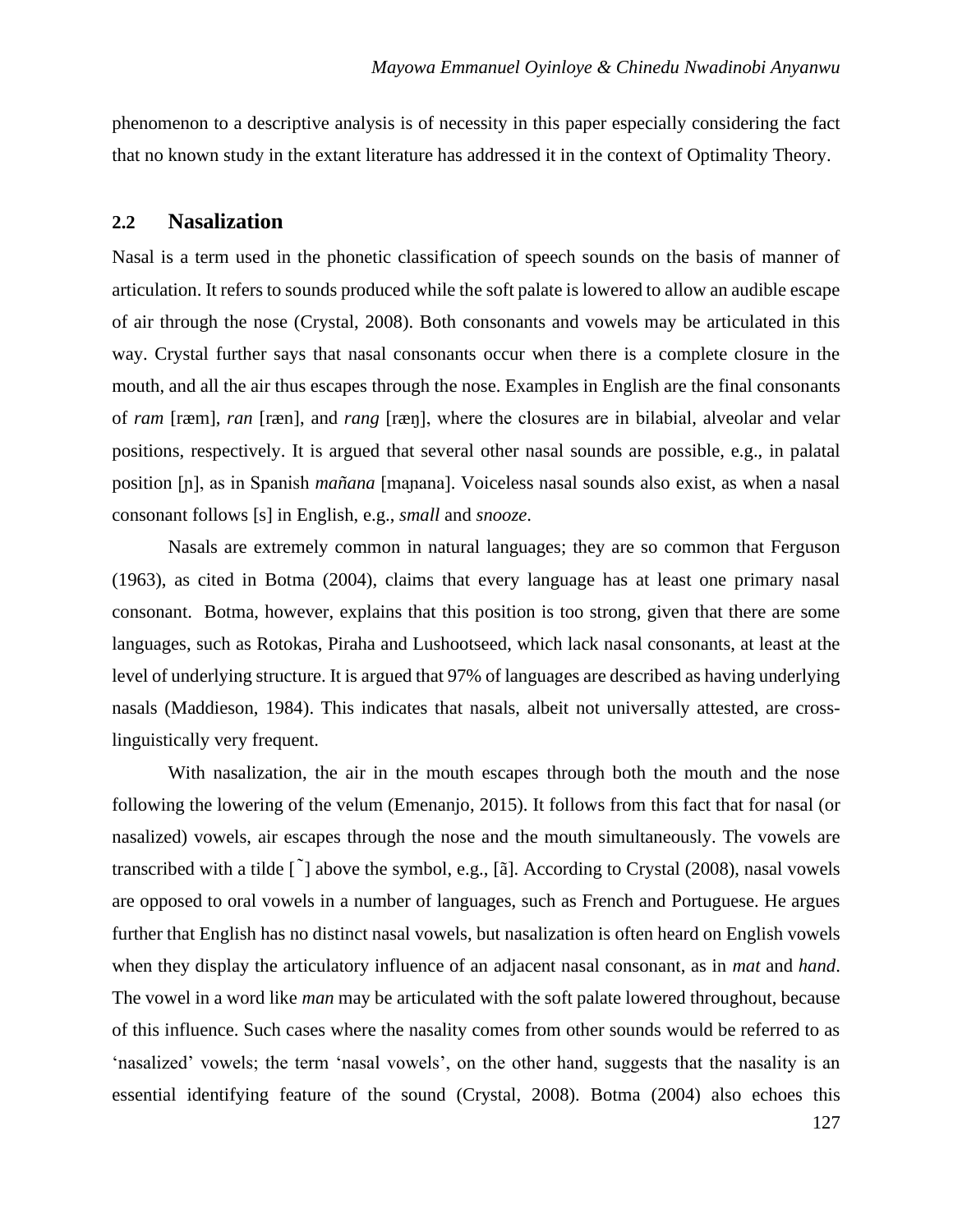phenomenon to a descriptive analysis is of necessity in this paper especially considering the fact that no known study in the extant literature has addressed it in the context of Optimality Theory.

#### **2.2 Nasalization**

Nasal is a term used in the phonetic classification of speech sounds on the basis of manner of articulation. It refers to sounds produced while the soft palate is lowered to allow an audible escape of air through the nose (Crystal, 2008). Both consonants and vowels may be articulated in this way. Crystal further says that nasal consonants occur when there is a complete closure in the mouth, and all the air thus escapes through the nose. Examples in English are the final consonants of *ram* [ræm], *ran* [ræn], and *rang* [ræŋ], where the closures are in bilabial, alveolar and velar positions, respectively. It is argued that several other nasal sounds are possible, e.g., in palatal position [ɲ], as in Spanish *mañana* [maɲana]. Voiceless nasal sounds also exist, as when a nasal consonant follows [s] in English, e.g., *small* and *snooze*.

Nasals are extremely common in natural languages; they are so common that Ferguson (1963), as cited in Botma (2004), claims that every language has at least one primary nasal consonant. Botma, however, explains that this position is too strong, given that there are some languages, such as Rotokas, Piraha and Lushootseed, which lack nasal consonants, at least at the level of underlying structure. It is argued that 97% of languages are described as having underlying nasals (Maddieson, 1984). This indicates that nasals, albeit not universally attested, are crosslinguistically very frequent.

With nasalization, the air in the mouth escapes through both the mouth and the nose following the lowering of the velum (Emenanjo, 2015). It follows from this fact that for nasal (or nasalized) vowels, air escapes through the nose and the mouth simultaneously. The vowels are transcribed with a tilde  $\lceil \right\rceil$  above the symbol, e.g.,  $\lceil \tilde{a} \rceil$ . According to Crystal (2008), nasal vowels are opposed to oral vowels in a number of languages, such as French and Portuguese. He argues further that English has no distinct nasal vowels, but nasalization is often heard on English vowels when they display the articulatory influence of an adjacent nasal consonant, as in *mat* and *hand*. The vowel in a word like *man* may be articulated with the soft palate lowered throughout, because of this influence. Such cases where the nasality comes from other sounds would be referred to as 'nasalized' vowels; the term 'nasal vowels', on the other hand, suggests that the nasality is an essential identifying feature of the sound (Crystal, 2008). Botma (2004) also echoes this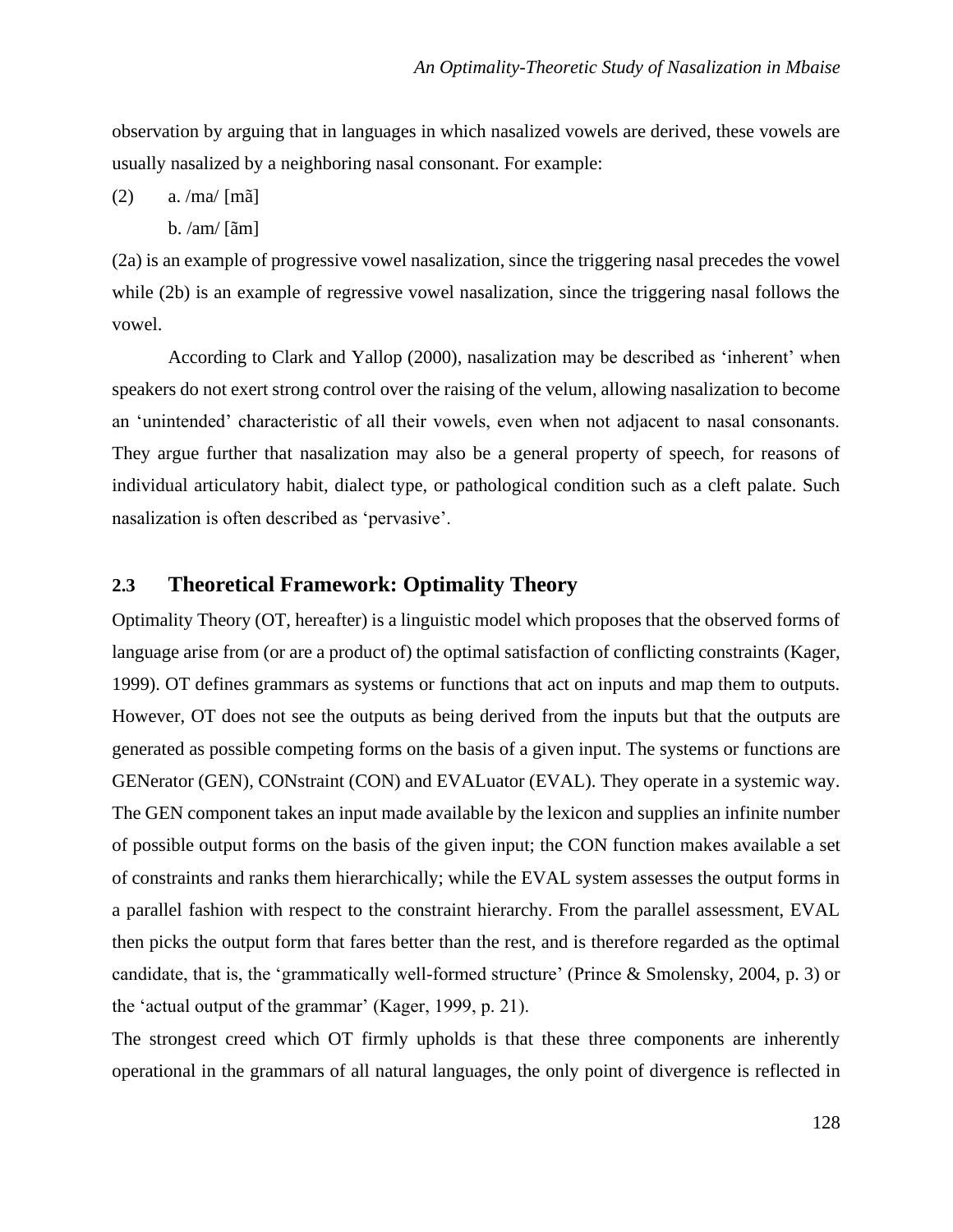observation by arguing that in languages in which nasalized vowels are derived, these vowels are usually nasalized by a neighboring nasal consonant. For example:

(2) a. /ma/ [mã]

b.  $\alpha$ m $\alpha$  [ $\tilde{a}$ m]

(2a) is an example of progressive vowel nasalization, since the triggering nasal precedes the vowel while (2b) is an example of regressive vowel nasalization, since the triggering nasal follows the vowel.

According to Clark and Yallop (2000), nasalization may be described as 'inherent' when speakers do not exert strong control over the raising of the velum, allowing nasalization to become an 'unintended' characteristic of all their vowels, even when not adjacent to nasal consonants. They argue further that nasalization may also be a general property of speech, for reasons of individual articulatory habit, dialect type, or pathological condition such as a cleft palate. Such nasalization is often described as 'pervasive'.

## **2.3 Theoretical Framework: Optimality Theory**

Optimality Theory (OT, hereafter) is a linguistic model which proposes that the observed forms of language arise from (or are a product of) the optimal satisfaction of conflicting constraints (Kager, 1999). OT defines grammars as systems or functions that act on inputs and map them to outputs. However, OT does not see the outputs as being derived from the inputs but that the outputs are generated as possible competing forms on the basis of a given input. The systems or functions are GENerator (GEN), CONstraint (CON) and EVALuator (EVAL). They operate in a systemic way. The GEN component takes an input made available by the lexicon and supplies an infinite number of possible output forms on the basis of the given input; the CON function makes available a set of constraints and ranks them hierarchically; while the EVAL system assesses the output forms in a parallel fashion with respect to the constraint hierarchy. From the parallel assessment, EVAL then picks the output form that fares better than the rest, and is therefore regarded as the optimal candidate, that is, the 'grammatically well-formed structure' (Prince & Smolensky, 2004, p. 3) or the 'actual output of the grammar' (Kager, 1999, p. 21).

The strongest creed which OT firmly upholds is that these three components are inherently operational in the grammars of all natural languages, the only point of divergence is reflected in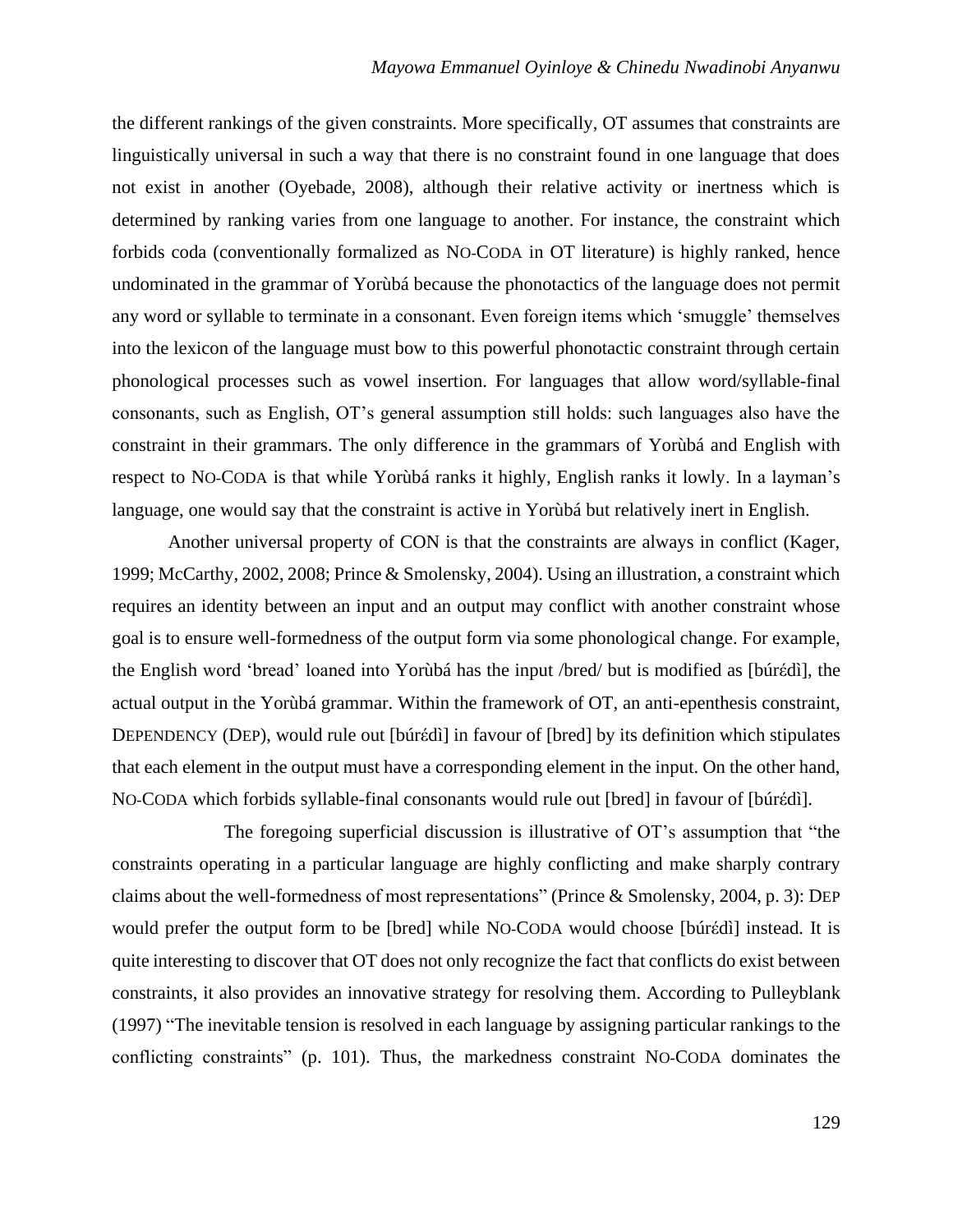the different rankings of the given constraints. More specifically, OT assumes that constraints are linguistically universal in such a way that there is no constraint found in one language that does not exist in another (Oyebade, 2008), although their relative activity or inertness which is determined by ranking varies from one language to another. For instance, the constraint which forbids coda (conventionally formalized as NO-CODA in OT literature) is highly ranked, hence undominated in the grammar of Yorùbá because the phonotactics of the language does not permit any word or syllable to terminate in a consonant. Even foreign items which 'smuggle' themselves into the lexicon of the language must bow to this powerful phonotactic constraint through certain phonological processes such as vowel insertion. For languages that allow word/syllable-final consonants, such as English, OT's general assumption still holds: such languages also have the constraint in their grammars. The only difference in the grammars of Yorùbá and English with respect to NO-CODA is that while Yorùbá ranks it highly, English ranks it lowly. In a layman's language, one would say that the constraint is active in Yorùbá but relatively inert in English.

Another universal property of CON is that the constraints are always in conflict (Kager, 1999; McCarthy, 2002, 2008; Prince & Smolensky, 2004). Using an illustration, a constraint which requires an identity between an input and an output may conflict with another constraint whose goal is to ensure well-formedness of the output form via some phonological change. For example, the English word 'bread' loaned into Yorùbá has the input /bred/ but is modified as [búrέdì], the actual output in the Yorùbá grammar. Within the framework of OT, an anti-epenthesis constraint, DEPENDENCY (DEP), would rule out [búrέdì] in favour of [bred] by its definition which stipulates that each element in the output must have a corresponding element in the input. On the other hand, NO-CODA which forbids syllable-final consonants would rule out [bred] in favour of [búrέdì].

The foregoing superficial discussion is illustrative of OT's assumption that "the constraints operating in a particular language are highly conflicting and make sharply contrary claims about the well-formedness of most representations" (Prince & Smolensky, 2004, p. 3): DEP would prefer the output form to be [bred] while NO-CODA would choose [búrέdì] instead. It is quite interesting to discover that OT does not only recognize the fact that conflicts do exist between constraints, it also provides an innovative strategy for resolving them. According to Pulleyblank (1997) "The inevitable tension is resolved in each language by assigning particular rankings to the conflicting constraints" (p. 101). Thus, the markedness constraint NO-CODA dominates the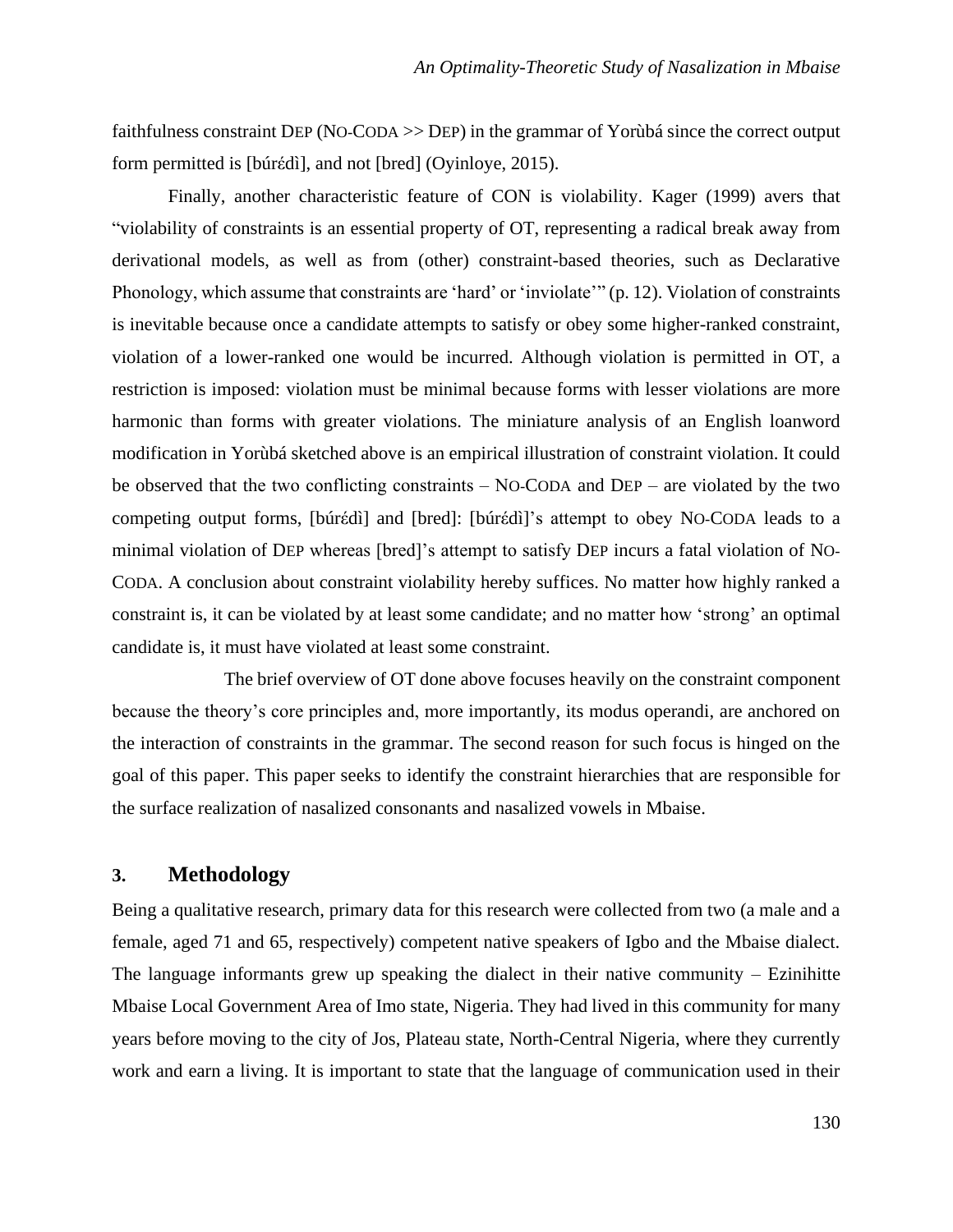faithfulness constraint DEP (NO-CODA >> DEP) in the grammar of Yorùbá since the correct output form permitted is [búrέdì], and not [bred] (Oyinloye, 2015).

Finally, another characteristic feature of CON is violability. Kager (1999) avers that "violability of constraints is an essential property of OT, representing a radical break away from derivational models, as well as from (other) constraint-based theories, such as Declarative Phonology, which assume that constraints are 'hard' or 'inviolate'" (p. 12). Violation of constraints is inevitable because once a candidate attempts to satisfy or obey some higher-ranked constraint, violation of a lower-ranked one would be incurred. Although violation is permitted in OT, a restriction is imposed: violation must be minimal because forms with lesser violations are more harmonic than forms with greater violations. The miniature analysis of an English loanword modification in Yorùbá sketched above is an empirical illustration of constraint violation. It could be observed that the two conflicting constraints  $-$  NO-CODA and DEP  $-$  are violated by the two competing output forms, [búrέdì] and [bred]: [búrέdì]'s attempt to obey NO-CODA leads to a minimal violation of DEP whereas [bred]'s attempt to satisfy DEP incurs a fatal violation of NO-CODA. A conclusion about constraint violability hereby suffices. No matter how highly ranked a constraint is, it can be violated by at least some candidate; and no matter how 'strong' an optimal candidate is, it must have violated at least some constraint.

The brief overview of OT done above focuses heavily on the constraint component because the theory's core principles and, more importantly, its modus operandi, are anchored on the interaction of constraints in the grammar. The second reason for such focus is hinged on the goal of this paper. This paper seeks to identify the constraint hierarchies that are responsible for the surface realization of nasalized consonants and nasalized vowels in Mbaise.

## **3. Methodology**

Being a qualitative research, primary data for this research were collected from two (a male and a female, aged 71 and 65, respectively) competent native speakers of Igbo and the Mbaise dialect. The language informants grew up speaking the dialect in their native community  $-$  Ezinihitte Mbaise Local Government Area of Imo state, Nigeria. They had lived in this community for many years before moving to the city of Jos, Plateau state, North-Central Nigeria, where they currently work and earn a living. It is important to state that the language of communication used in their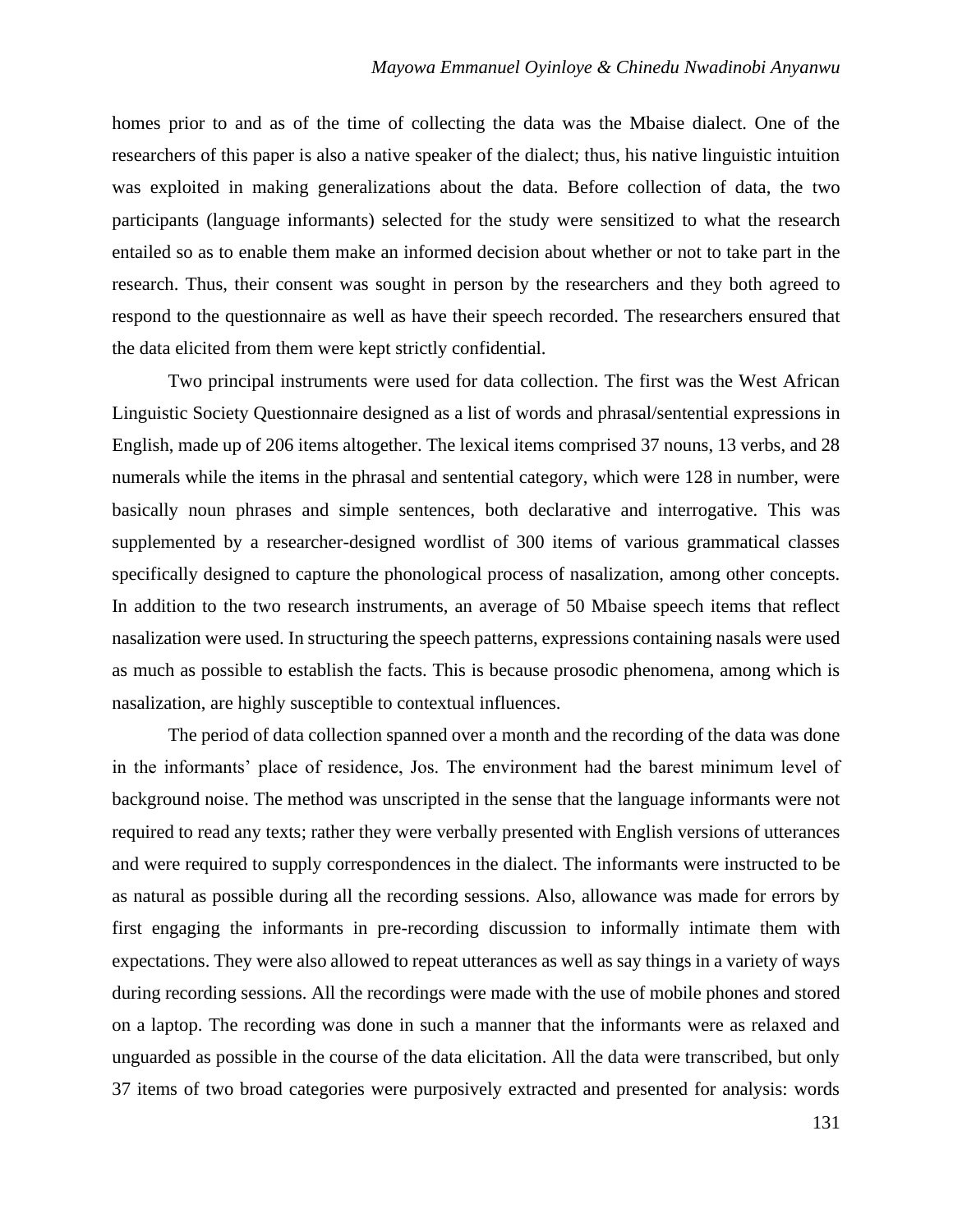homes prior to and as of the time of collecting the data was the Mbaise dialect. One of the researchers of this paper is also a native speaker of the dialect; thus, his native linguistic intuition was exploited in making generalizations about the data. Before collection of data, the two participants (language informants) selected for the study were sensitized to what the research entailed so as to enable them make an informed decision about whether or not to take part in the research. Thus, their consent was sought in person by the researchers and they both agreed to respond to the questionnaire as well as have their speech recorded. The researchers ensured that the data elicited from them were kept strictly confidential.

Two principal instruments were used for data collection. The first was the West African Linguistic Society Questionnaire designed as a list of words and phrasal/sentential expressions in English, made up of 206 items altogether. The lexical items comprised 37 nouns, 13 verbs, and 28 numerals while the items in the phrasal and sentential category, which were 128 in number, were basically noun phrases and simple sentences, both declarative and interrogative. This was supplemented by a researcher-designed wordlist of 300 items of various grammatical classes specifically designed to capture the phonological process of nasalization, among other concepts. In addition to the two research instruments, an average of 50 Mbaise speech items that reflect nasalization were used. In structuring the speech patterns, expressions containing nasals were used as much as possible to establish the facts. This is because prosodic phenomena, among which is nasalization, are highly susceptible to contextual influences.

The period of data collection spanned over a month and the recording of the data was done in the informants' place of residence, Jos. The environment had the barest minimum level of background noise. The method was unscripted in the sense that the language informants were not required to read any texts; rather they were verbally presented with English versions of utterances and were required to supply correspondences in the dialect. The informants were instructed to be as natural as possible during all the recording sessions. Also, allowance was made for errors by first engaging the informants in pre-recording discussion to informally intimate them with expectations. They were also allowed to repeat utterances as well as say things in a variety of ways during recording sessions. All the recordings were made with the use of mobile phones and stored on a laptop. The recording was done in such a manner that the informants were as relaxed and unguarded as possible in the course of the data elicitation. All the data were transcribed, but only 37 items of two broad categories were purposively extracted and presented for analysis: words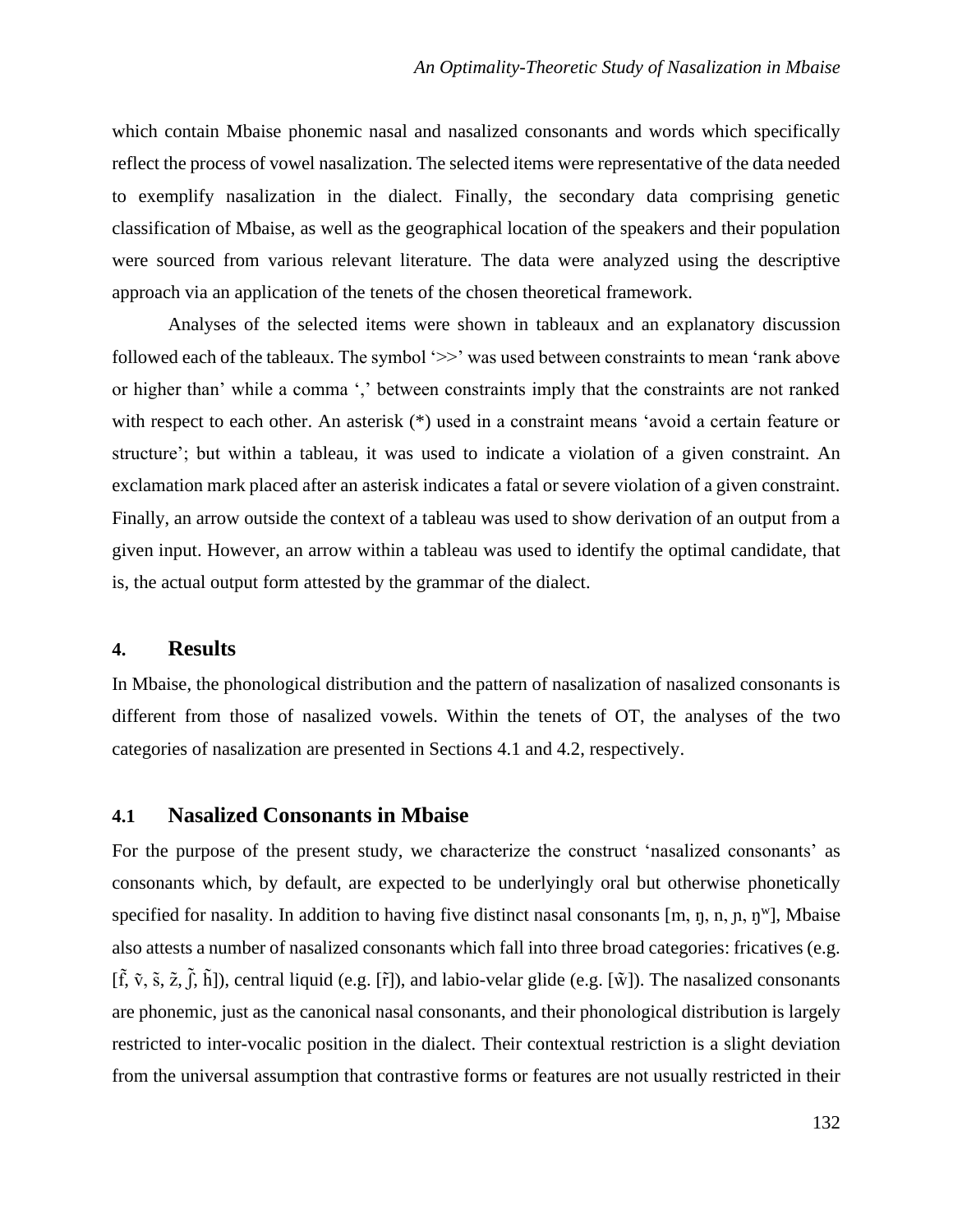which contain Mbaise phonemic nasal and nasalized consonants and words which specifically reflect the process of vowel nasalization. The selected items were representative of the data needed to exemplify nasalization in the dialect. Finally, the secondary data comprising genetic classification of Mbaise, as well as the geographical location of the speakers and their population were sourced from various relevant literature. The data were analyzed using the descriptive approach via an application of the tenets of the chosen theoretical framework.

Analyses of the selected items were shown in tableaux and an explanatory discussion followed each of the tableaux. The symbol ' $\gg$ ' was used between constraints to mean 'rank above or higher than' while a comma ',' between constraints imply that the constraints are not ranked with respect to each other. An asterisk (\*) used in a constraint means 'avoid a certain feature or structure'; but within a tableau, it was used to indicate a violation of a given constraint. An exclamation mark placed after an asterisk indicates a fatal or severe violation of a given constraint. Finally, an arrow outside the context of a tableau was used to show derivation of an output from a given input. However, an arrow within a tableau was used to identify the optimal candidate, that is, the actual output form attested by the grammar of the dialect.

### **4. Results**

In Mbaise, the phonological distribution and the pattern of nasalization of nasalized consonants is different from those of nasalized vowels. Within the tenets of OT, the analyses of the two categories of nasalization are presented in Sections 4.1 and 4.2, respectively.

## **4.1 Nasalized Consonants in Mbaise**

For the purpose of the present study, we characterize the construct 'nasalized consonants' as consonants which, by default, are expected to be underlyingly oral but otherwise phonetically specified for nasality. In addition to having five distinct nasal consonants  $[m, \eta, n, p, \eta^w]$ , Mbaise also attests a number of nasalized consonants which fall into three broad categories: fricatives (e.g.  $[\tilde{f}, \tilde{v}, \tilde{s}, \tilde{z}, \tilde{f}, \tilde{h}]$ , central liquid (e.g.  $[\tilde{r}]$ ), and labio-velar glide (e.g.  $[\tilde{w}]$ ). The nasalized consonants are phonemic, just as the canonical nasal consonants, and their phonological distribution is largely restricted to inter-vocalic position in the dialect. Their contextual restriction is a slight deviation from the universal assumption that contrastive forms or features are not usually restricted in their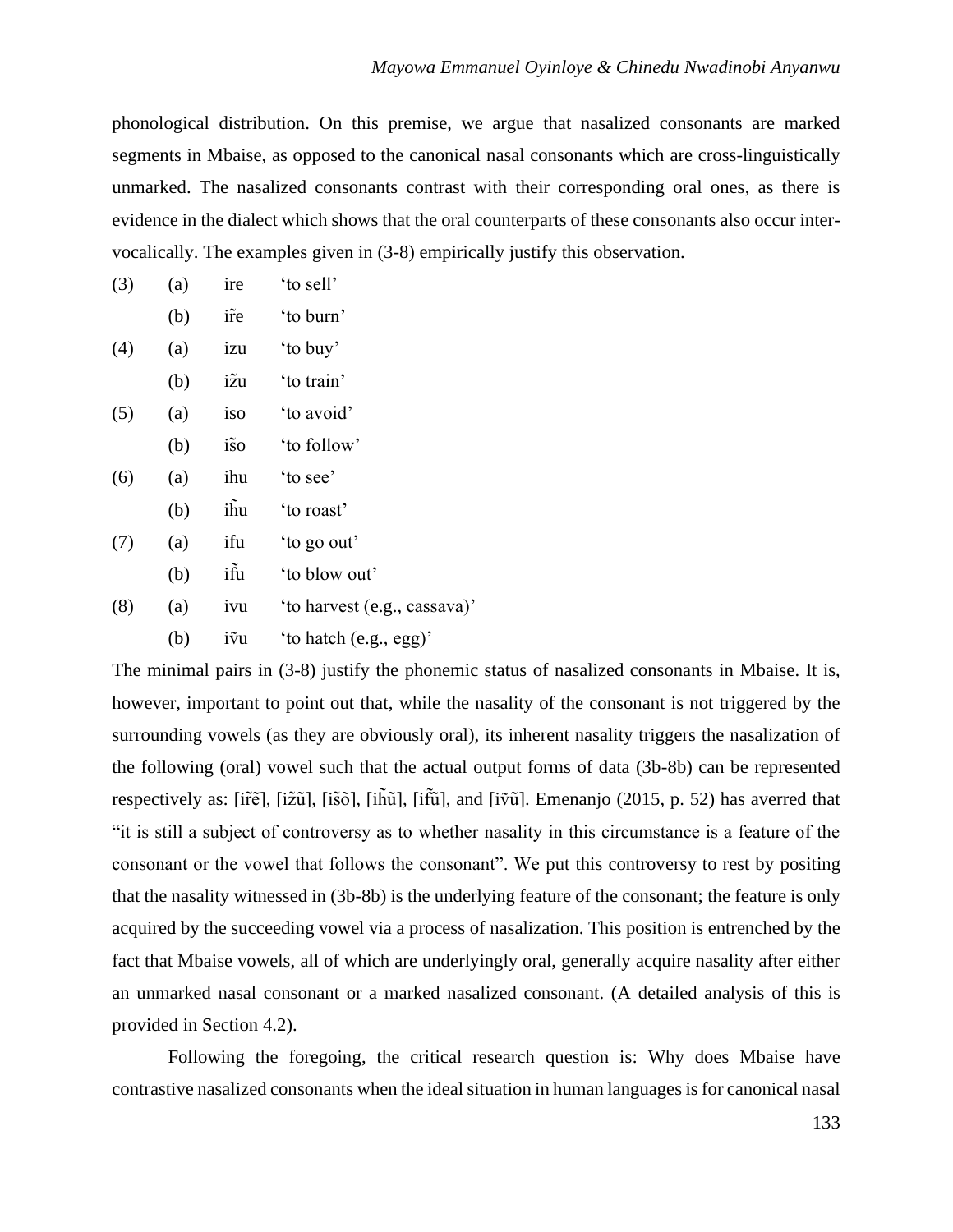phonological distribution. On this premise, we argue that nasalized consonants are marked segments in Mbaise, as opposed to the canonical nasal consonants which are cross-linguistically unmarked. The nasalized consonants contrast with their corresponding oral ones, as there is evidence in the dialect which shows that the oral counterparts of these consonants also occur intervocalically. The examples given in (3-8) empirically justify this observation.

| (3) | (a) | ire  | 'to sell'                    |
|-----|-----|------|------------------------------|
|     | (b) | ir̃e | 'to burn'                    |
| (4) | (a) | izu  | 'to buy'                     |
|     | (b) | ižu  | 'to train'                   |
| (5) | (a) | iso  | 'to avoid'                   |
|     | (b) | iso  | 'to follow'                  |
| (6) | (a) | ihu  | 'to see'                     |
|     | (b) | ihu  | 'to roast'                   |
| (7) | (a) | ifu  | 'to go out'                  |
|     | (b) | ifu  | 'to blow out'                |
| (8) | (a) | ivu  | 'to harvest (e.g., cassava)' |
|     | (b) | ivu  | 'to hatch (e.g., egg)'       |

The minimal pairs in (3-8) justify the phonemic status of nasalized consonants in Mbaise. It is, however, important to point out that, while the nasality of the consonant is not triggered by the surrounding vowels (as they are obviously oral), its inherent nasality triggers the nasalization of the following (oral) vowel such that the actual output forms of data (3b-8b) can be represented respectively as: [ir̃ẽ], [iz̃ũ], [is̃õ], [ih̃ũ], [it͡ũ], and [iṽũ]. Emenanjo (2015, p. 52) has averred that "it is still a subject of controversy as to whether nasality in this circumstance is a feature of the consonant or the vowel that follows the consonant". We put this controversy to rest by positing that the nasality witnessed in (3b-8b) is the underlying feature of the consonant; the feature is only acquired by the succeeding vowel via a process of nasalization. This position is entrenched by the fact that Mbaise vowels, all of which are underlyingly oral, generally acquire nasality after either an unmarked nasal consonant or a marked nasalized consonant. (A detailed analysis of this is provided in Section 4.2).

Following the foregoing, the critical research question is: Why does Mbaise have contrastive nasalized consonants when the ideal situation in human languages is for canonical nasal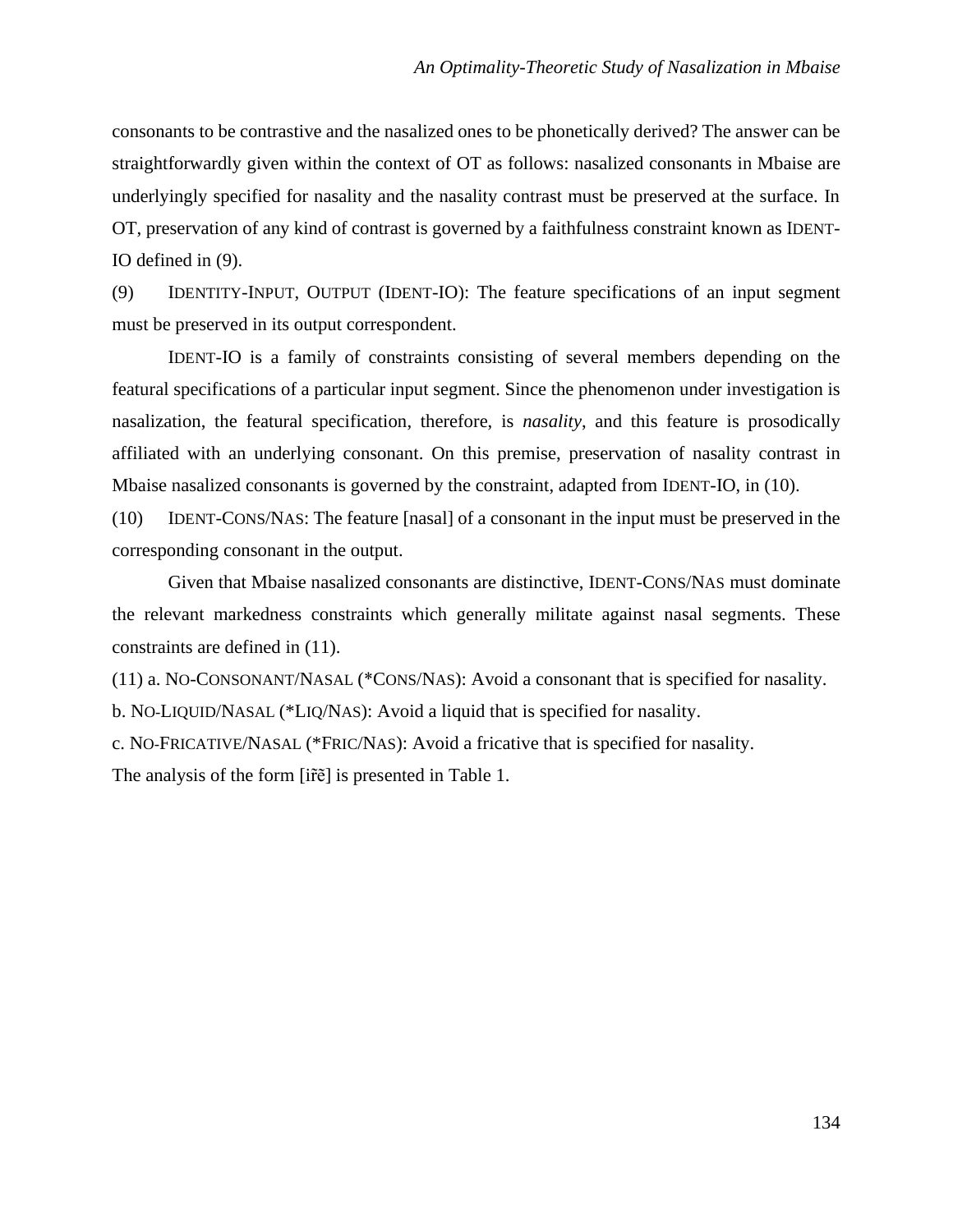consonants to be contrastive and the nasalized ones to be phonetically derived? The answer can be straightforwardly given within the context of OT as follows: nasalized consonants in Mbaise are underlyingly specified for nasality and the nasality contrast must be preserved at the surface. In OT, preservation of any kind of contrast is governed by a faithfulness constraint known as IDENT-IO defined in (9).

(9) IDENTITY-INPUT, OUTPUT (IDENT-IO): The feature specifications of an input segment must be preserved in its output correspondent.

IDENT-IO is a family of constraints consisting of several members depending on the featural specifications of a particular input segment. Since the phenomenon under investigation is nasalization, the featural specification, therefore, is *nasality*, and this feature is prosodically affiliated with an underlying consonant. On this premise, preservation of nasality contrast in Mbaise nasalized consonants is governed by the constraint, adapted from IDENT-IO, in (10).

(10) IDENT-CONS/NAS: The feature [nasal] of a consonant in the input must be preserved in the corresponding consonant in the output.

Given that Mbaise nasalized consonants are distinctive, IDENT-CONS/NAS must dominate the relevant markedness constraints which generally militate against nasal segments. These constraints are defined in (11).

(11) a. NO-CONSONANT/NASAL (\*CONS/NAS): Avoid a consonant that is specified for nasality.

b. NO-LIQUID/NASAL (\*LIQ/NAS): Avoid a liquid that is specified for nasality.

c. NO-FRICATIVE/NASAL (\*FRIC/NAS): Avoid a fricative that is specified for nasality.

The analysis of the form [ir̃ẽ] is presented in Table 1.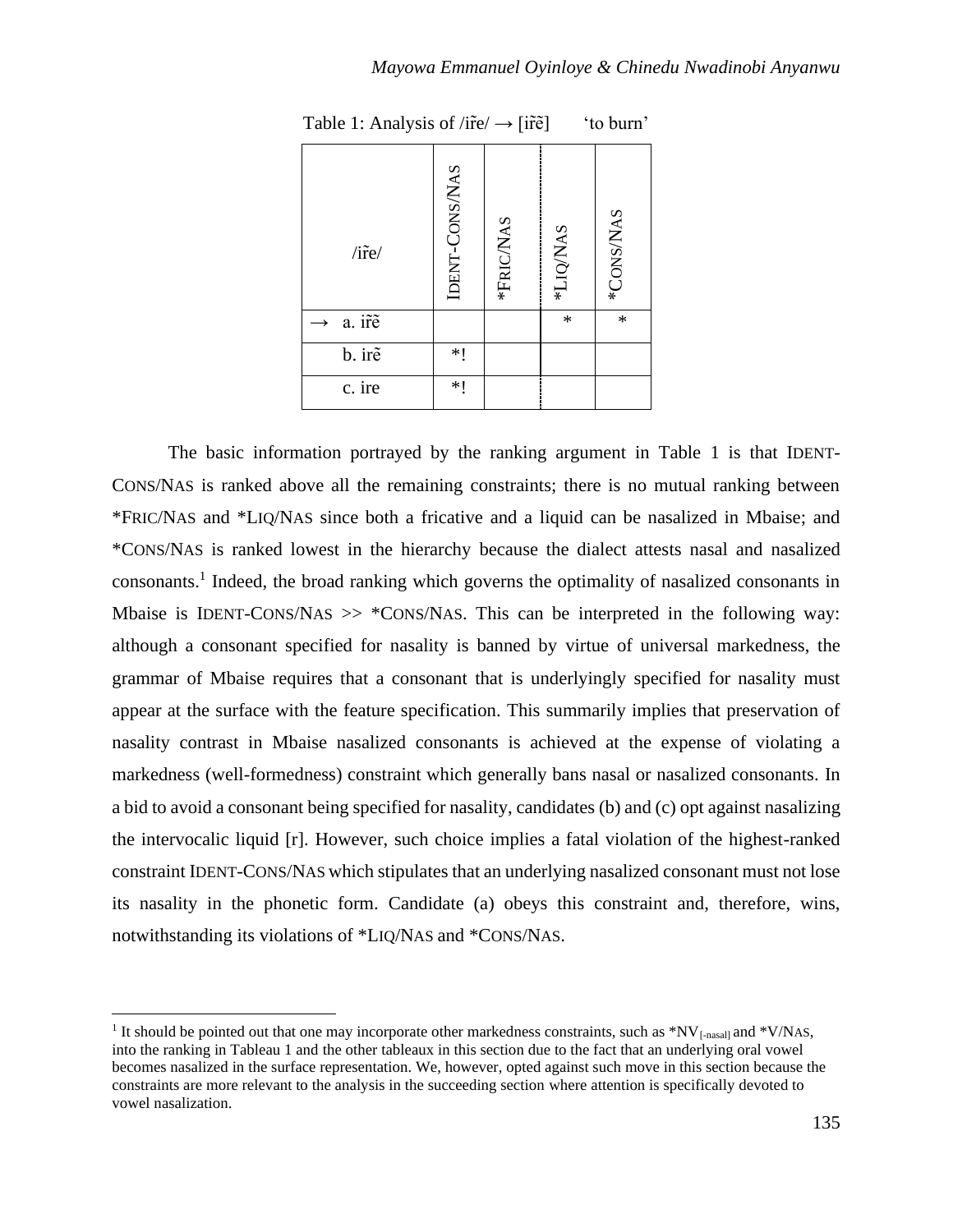| *CONS/NAS<br>*LIQ/NAS | $\ast$<br>$\ast$ |        |
|-----------------------|------------------|--------|
| *FRIC/NAS             |                  |        |
| IDENT-CONS/NAS        |                  | *1     |
| $/$ ire $/$           | a. ir̃e          | b. irẽ |

Table 1: Analysis of /ir̃e/ $\rightarrow$  [ir̃ẽ] 'to burn'

The basic information portrayed by the ranking argument in Table 1 is that IDENT-CONS/NAS is ranked above all the remaining constraints; there is no mutual ranking between \*FRIC/NAS and \*LIQ/NAS since both a fricative and a liquid can be nasalized in Mbaise; and \*CONS/NAS is ranked lowest in the hierarchy because the dialect attests nasal and nasalized consonants.<sup>1</sup> Indeed, the broad ranking which governs the optimality of nasalized consonants in Mbaise is IDENT-CONS/NAS >> \*CONS/NAS. This can be interpreted in the following way: although a consonant specified for nasality is banned by virtue of universal markedness, the grammar of Mbaise requires that a consonant that is underlyingly specified for nasality must appear at the surface with the feature specification. This summarily implies that preservation of nasality contrast in Mbaise nasalized consonants is achieved at the expense of violating a markedness (well-formedness) constraint which generally bans nasal or nasalized consonants. In a bid to avoid a consonant being specified for nasality, candidates (b) and (c) opt against nasalizing the intervocalic liquid [r]. However, such choice implies a fatal violation of the highest-ranked constraint IDENT-CONS/NAS which stipulates that an underlying nasalized consonant must not lose its nasality in the phonetic form. Candidate (a) obeys this constraint and, therefore, wins, notwithstanding its violations of \*LIQ/NAS and \*CONS/NAS.

<sup>&</sup>lt;sup>1</sup> It should be pointed out that one may incorporate other markedness constraints, such as  $N_{\text{[nasal]}}$  and  $N_{\text{[nasal]}}$ into the ranking in Tableau 1 and the other tableaux in this section due to the fact that an underlying oral vowel becomes nasalized in the surface representation. We, however, opted against such move in this section because the constraints are more relevant to the analysis in the succeeding section where attention is specifically devoted to vowel nasalization.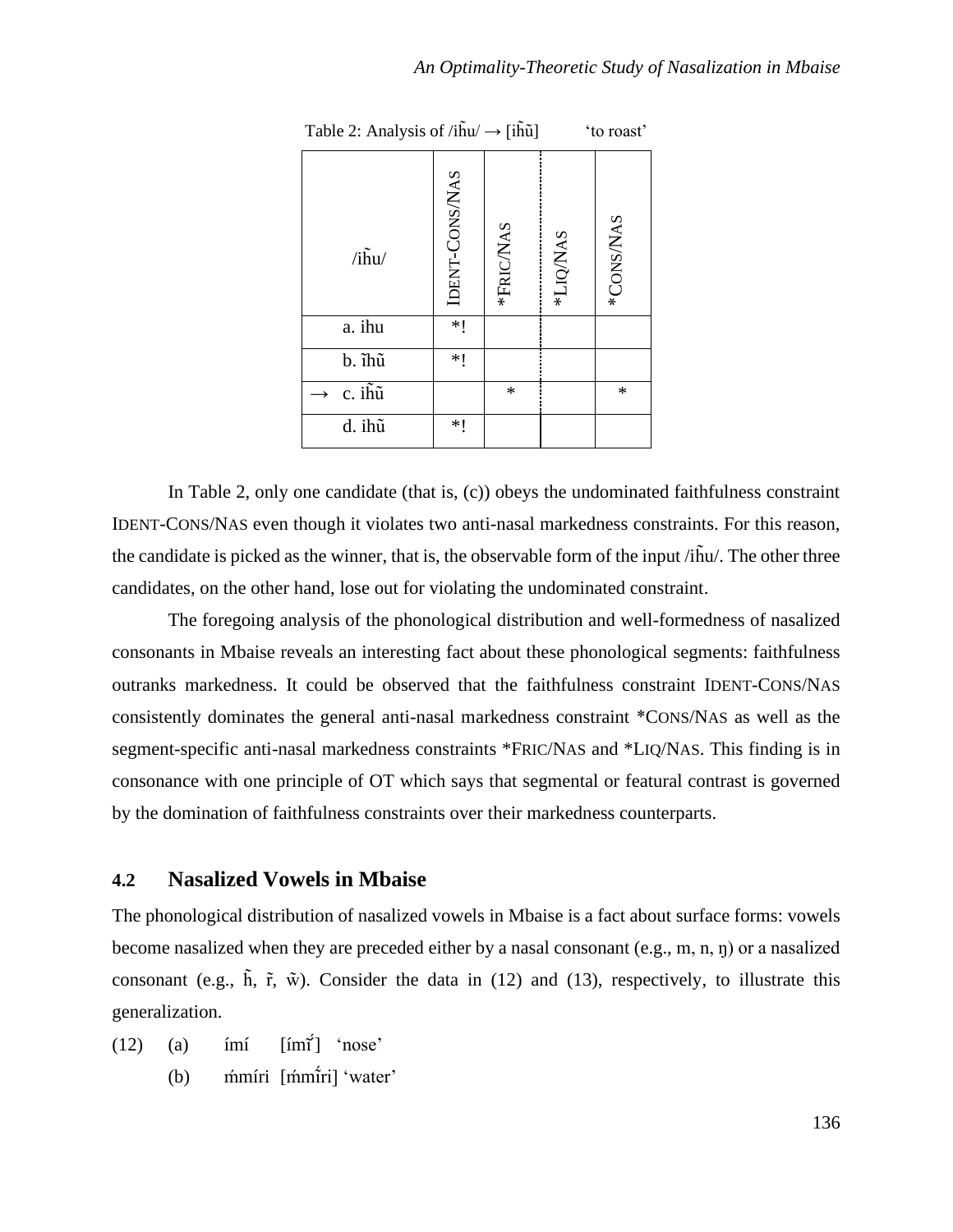| $/i\tilde{h}u/$                 | IDENT-CONS/NAS | *FRIC/NAS | *LIQ/NAS | *CONS/NAS |
|---------------------------------|----------------|-----------|----------|-----------|
| a. ihu                          | $*!$           |           |          |           |
| b. ĩhũ                          | $*!$           |           |          |           |
| $\overline{c}$ . ih $\tilde{u}$ |                | $\ast$    |          | *         |
| d. ihũ                          | $*!$           |           |          |           |

Table 2: Analysis of  $/i\tilde{h}u \rightarrow [i\tilde{h}\tilde{u}]$  'to roast'

In Table 2, only one candidate (that is, (c)) obeys the undominated faithfulness constraint IDENT-CONS/NAS even though it violates two anti-nasal markedness constraints. For this reason, the candidate is picked as the winner, that is, the observable form of the input /ih̃u/. The other three candidates, on the other hand, lose out for violating the undominated constraint.

The foregoing analysis of the phonological distribution and well-formedness of nasalized consonants in Mbaise reveals an interesting fact about these phonological segments: faithfulness outranks markedness. It could be observed that the faithfulness constraint IDENT-CONS/NAS consistently dominates the general anti-nasal markedness constraint \*CONS/NAS as well as the segment-specific anti-nasal markedness constraints \*FRIC/NAS and \*LIQ/NAS. This finding is in consonance with one principle of OT which says that segmental or featural contrast is governed by the domination of faithfulness constraints over their markedness counterparts.

## **4.2 Nasalized Vowels in Mbaise**

The phonological distribution of nasalized vowels in Mbaise is a fact about surface forms: vowels become nasalized when they are preceded either by a nasal consonant (e.g., m, n, ŋ) or a nasalized consonant (e.g.,  $\tilde{h}$ ,  $\tilde{r}$ ,  $\tilde{w}$ ). Consider the data in (12) and (13), respectively, to illustrate this generalization.

- $(12)$  (a)  $im\acute{i}$   $\lceil im\acute{i}\rceil$  'nose'
	- (b) mmíri [mmi̇̃ri] 'water'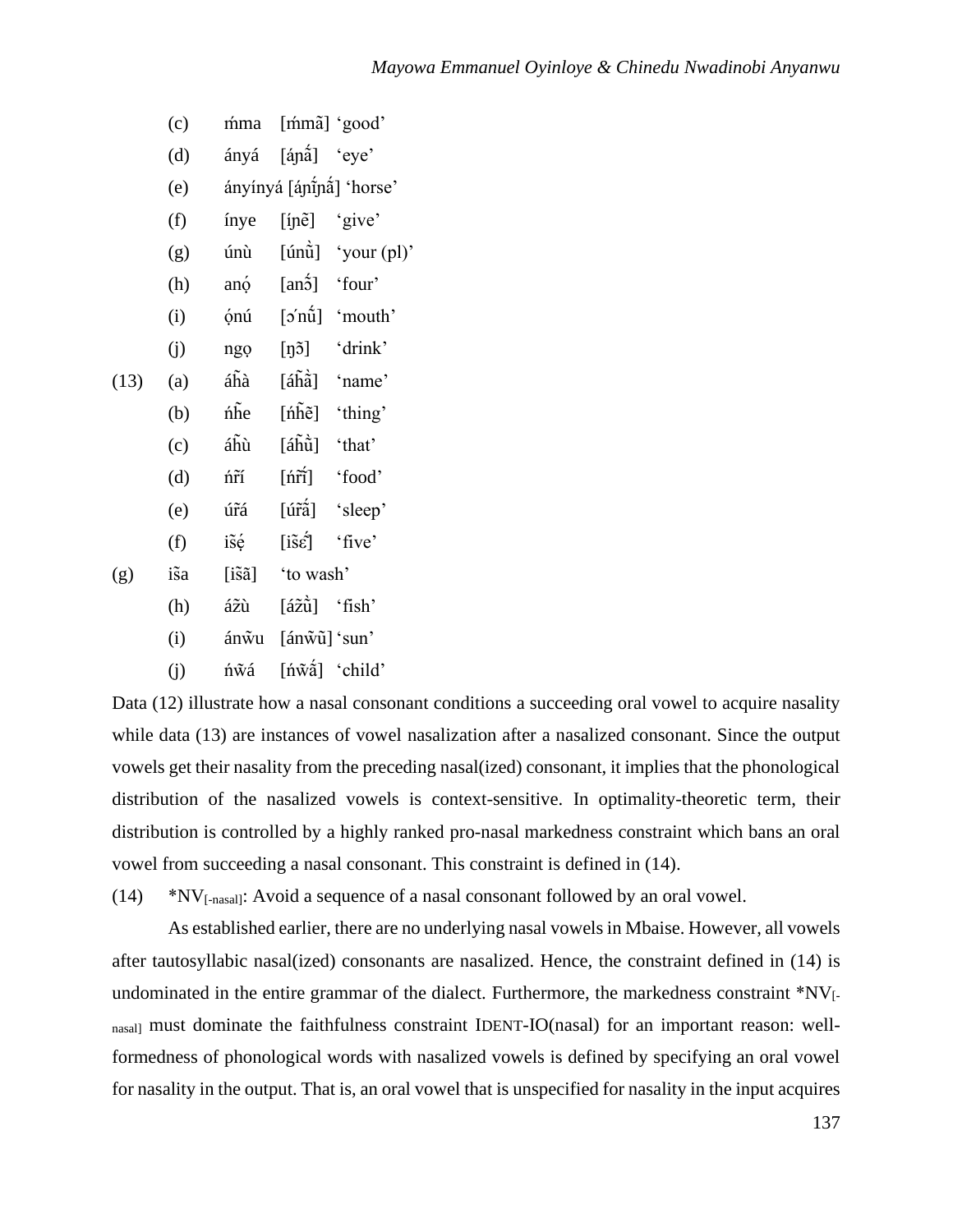|      | (c)  | mma                     | [mmã] 'good'                                      |                                        |
|------|------|-------------------------|---------------------------------------------------|----------------------------------------|
|      | (d)  | ányá                    | [ánã] 'eye'                                       |                                        |
|      | (e)  |                         |                                                   | ányínyá [áɲī́ɲã] 'horse'               |
|      | (f)  | ínye                    | [ínẽ] 'give'                                      |                                        |
|      | (g)  | únù                     |                                                   | $[\hat{\text{unii}}]$ 'your (pl)'      |
|      | (h)  | anó                     | $[an\acute{5}]$ 'four'                            |                                        |
|      | (i)  | ónú                     |                                                   | $\lceil \circ n\hat{u} \rceil$ 'mouth' |
|      | (j)  | ngọ                     |                                                   | $[\eta5]$ 'drink'                      |
| (13) | (a)  | áĥà                     |                                                   | $[\hat{a}\hat{h}\hat{a}]$ 'name'       |
|      | (b)  | nhe                     | $[\hat{n}\tilde{h}\tilde{e}]$                     | 'thing'                                |
|      | (c)  | áĥù                     | [áhū̀] 'that'                                     |                                        |
|      | (d)  | ńñ                      | [ńr̃] 'food'                                      |                                        |
|      | (e)  | úrá                     | $\lceil \tilde{\text{u}\tilde{\text{ra}}} \rceil$ | 'sleep'                                |
|      | (f)  | isé                     | $[i\tilde{s}\acute{\varepsilon}]$                 | 'five'                                 |
| (g)  | is̃a | $[i\tilde{s}\tilde{a}]$ | 'to wash'                                         |                                        |
|      | (h)  | ážù                     | [ážǜ] 'fish'                                      |                                        |
|      | (i)  | ánŵu                    | [ánw̃ū] 'sun'                                     |                                        |
|      | (i)  | ńŵá                     | $[\n\hat{\text{m}}\times\hat{\text{m}}]$ 'child'  |                                        |

Data (12) illustrate how a nasal consonant conditions a succeeding oral vowel to acquire nasality while data (13) are instances of vowel nasalization after a nasalized consonant. Since the output vowels get their nasality from the preceding nasal(ized) consonant, it implies that the phonological distribution of the nasalized vowels is context-sensitive. In optimality-theoretic term, their distribution is controlled by a highly ranked pro-nasal markedness constraint which bans an oral vowel from succeeding a nasal consonant. This constraint is defined in (14).

(14) \*NV[-nasal]: Avoid a sequence of a nasal consonant followed by an oral vowel.

As established earlier, there are no underlying nasal vowels in Mbaise. However, all vowels after tautosyllabic nasal(ized) consonants are nasalized. Hence, the constraint defined in (14) is undominated in the entire grammar of the dialect. Furthermore, the markedness constraint \*NV<sub>[-</sub> nasal] must dominate the faithfulness constraint IDENT-IO(nasal) for an important reason: wellformedness of phonological words with nasalized vowels is defined by specifying an oral vowel for nasality in the output. That is, an oral vowel that is unspecified for nasality in the input acquires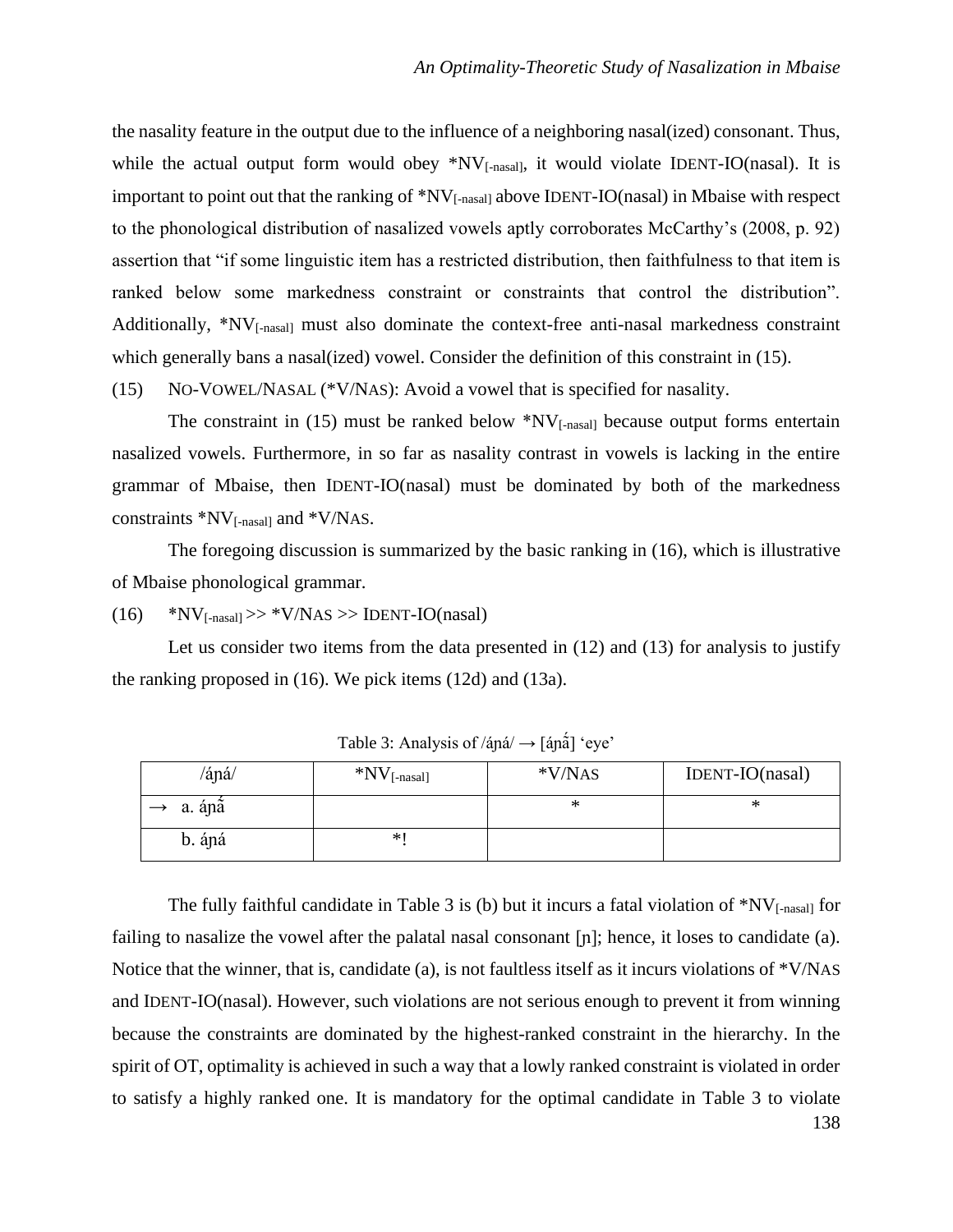the nasality feature in the output due to the influence of a neighboring nasal(ized) consonant. Thus, while the actual output form would obey  $N_{[-\text{nasall}]}$ , it would violate IDENT-IO(nasal). It is important to point out that the ranking of \*NV<sub>[-nasal]</sub> above IDENT-IO(nasal) in Mbaise with respect to the phonological distribution of nasalized vowels aptly corroborates McCarthy's (2008, p. 92) assertion that "if some linguistic item has a restricted distribution, then faithfulness to that item is ranked below some markedness constraint or constraints that control the distribution". Additionally, \*NV<sub>[-nasal]</sub> must also dominate the context-free anti-nasal markedness constraint which generally bans a nasal(ized) vowel. Consider the definition of this constraint in (15).

(15) NO-VOWEL/NASAL (\*V/NAS): Avoid a vowel that is specified for nasality.

The constraint in  $(15)$  must be ranked below  $N_{[-\text{nasal}]}$  because output forms entertain nasalized vowels. Furthermore, in so far as nasality contrast in vowels is lacking in the entire grammar of Mbaise, then IDENT-IO(nasal) must be dominated by both of the markedness constraints  $*NV$ <sub>[-nasal]</sub> and  $*V/NAS$ .

The foregoing discussion is summarized by the basic ranking in (16), which is illustrative of Mbaise phonological grammar.

 $(16)$  \*NV<sub>[-nasal]</sub> >> \*V/NAS >> IDENT-IO(nasal)

Let us consider two items from the data presented in (12) and (13) for analysis to justify the ranking proposed in (16). We pick items (12d) and (13a).

| /áná/  | $N_{\text{[-nasal]}}$ | $*V/NAS$ | IDENT-IO(nasal) |
|--------|-----------------------|----------|-----------------|
| a. ápã |                       | ∗        | ∗               |
| b. ápá | *1                    |          |                 |

Table 3: Analysis of  $/ápá/ \rightarrow [ápá]$  'eye'

138 The fully faithful candidate in Table 3 is (b) but it incurs a fatal violation of  $N_{[-\text{nasal}]}$  for failing to nasalize the vowel after the palatal nasal consonant [ɲ]; hence, it loses to candidate (a). Notice that the winner, that is, candidate (a), is not faultless itself as it incurs violations of \*V/NAS and IDENT-IO(nasal). However, such violations are not serious enough to prevent it from winning because the constraints are dominated by the highest-ranked constraint in the hierarchy. In the spirit of OT, optimality is achieved in such a way that a lowly ranked constraint is violated in order to satisfy a highly ranked one. It is mandatory for the optimal candidate in Table 3 to violate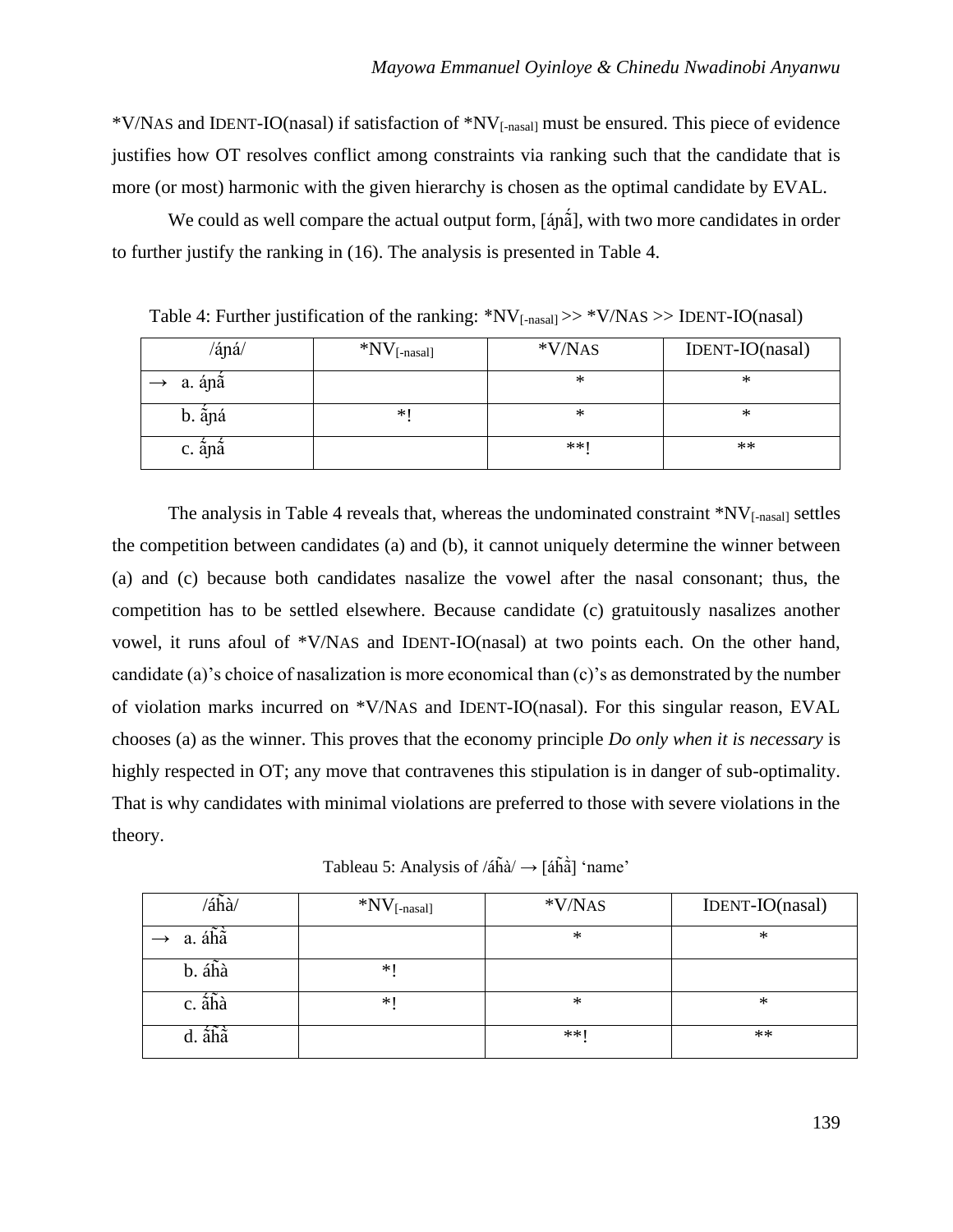\*V/NAS and IDENT-IO(nasal) if satisfaction of \*NV[-nasal] must be ensured. This piece of evidence justifies how OT resolves conflict among constraints via ranking such that the candidate that is more (or most) harmonic with the given hierarchy is chosen as the optimal candidate by EVAL.

We could as well compare the actual output form, [ánå], with two more candidates in order to further justify the ranking in (16). The analysis is presented in Table 4.

 $\langle \hat{a} \rangle$  \*NV<sub>[-nasal]</sub> \*V/NAS IDENT-IO(nasal)  $\rightarrow$  a. áp $\acute{a}$  **\*** \* b.  $\sin \alpha$   $\qquad$   $\qquad$   $\qquad$   $\qquad$   $\qquad$   $\qquad$   $\qquad$   $\qquad$   $\qquad$   $\qquad$   $\qquad$   $\qquad$   $\qquad$   $\qquad$   $\qquad$   $\qquad$   $\qquad$   $\qquad$   $\qquad$   $\qquad$   $\qquad$   $\qquad$   $\qquad$   $\qquad$   $\qquad$   $\qquad$   $\qquad$   $\qquad$   $\qquad$   $\qquad$   $\qquad$   $\qquad$   $\qquad$   $\qquad$   $\qquad$  c.  $\sin \tilde{a}$  and  $\cos \theta$  and  $\sin \theta$  are  $\sin \theta$  and  $\cos \theta$  are  $\sin \theta$  and  $\sin \theta$  are  $\sin \theta$  and  $\sin \theta$  are  $\sin \theta$  and  $\sin \theta$  are  $\sin \theta$  and  $\sin \theta$  are  $\sin \theta$  and  $\sin \theta$  are  $\sin \theta$  and  $\sin \theta$  are  $\sin \theta$  and  $\sin \theta$  are  $\sin \theta$ 

Table 4: Further justification of the ranking:  $N_{[-\text{nasal}]}>>N/NAS>>IDENT-IO(\text{nasal})$ 

The analysis in Table 4 reveals that, whereas the undominated constraint  $N_{\text{L}}$ <sup>\*</sup>NV<sub>[-nasal]</sub> settles the competition between candidates (a) and (b), it cannot uniquely determine the winner between (a) and (c) because both candidates nasalize the vowel after the nasal consonant; thus, the competition has to be settled elsewhere. Because candidate (c) gratuitously nasalizes another vowel, it runs afoul of \*V/NAS and IDENT-IO(nasal) at two points each. On the other hand, candidate (a)'s choice of nasalization is more economical than (c)'s as demonstrated by the number of violation marks incurred on \*V/NAS and IDENT-IO(nasal). For this singular reason, EVAL chooses (a) as the winner. This proves that the economy principle *Do only when it is necessary* is highly respected in OT; any move that contravenes this stipulation is in danger of sub-optimality. That is why candidates with minimal violations are preferred to those with severe violations in the theory.

Tableau 5: Analysis of  $/4\tilde{h}$ à $/ \rightarrow$  [áh̄à] 'name'

| $\lambda$ áĥà $\lambda$ | $*NV$ [-nasal] | *V/NAS | IDENT-IO(nasal) |
|-------------------------|----------------|--------|-----------------|
| a. áhâ                  |                | $\ast$ | ∗               |
| b. áhà                  | *1             |        |                 |
| c. ahà                  | ∗∣             | $\ast$ | ∗               |
| d. ắhầ                  |                | **     | **              |

139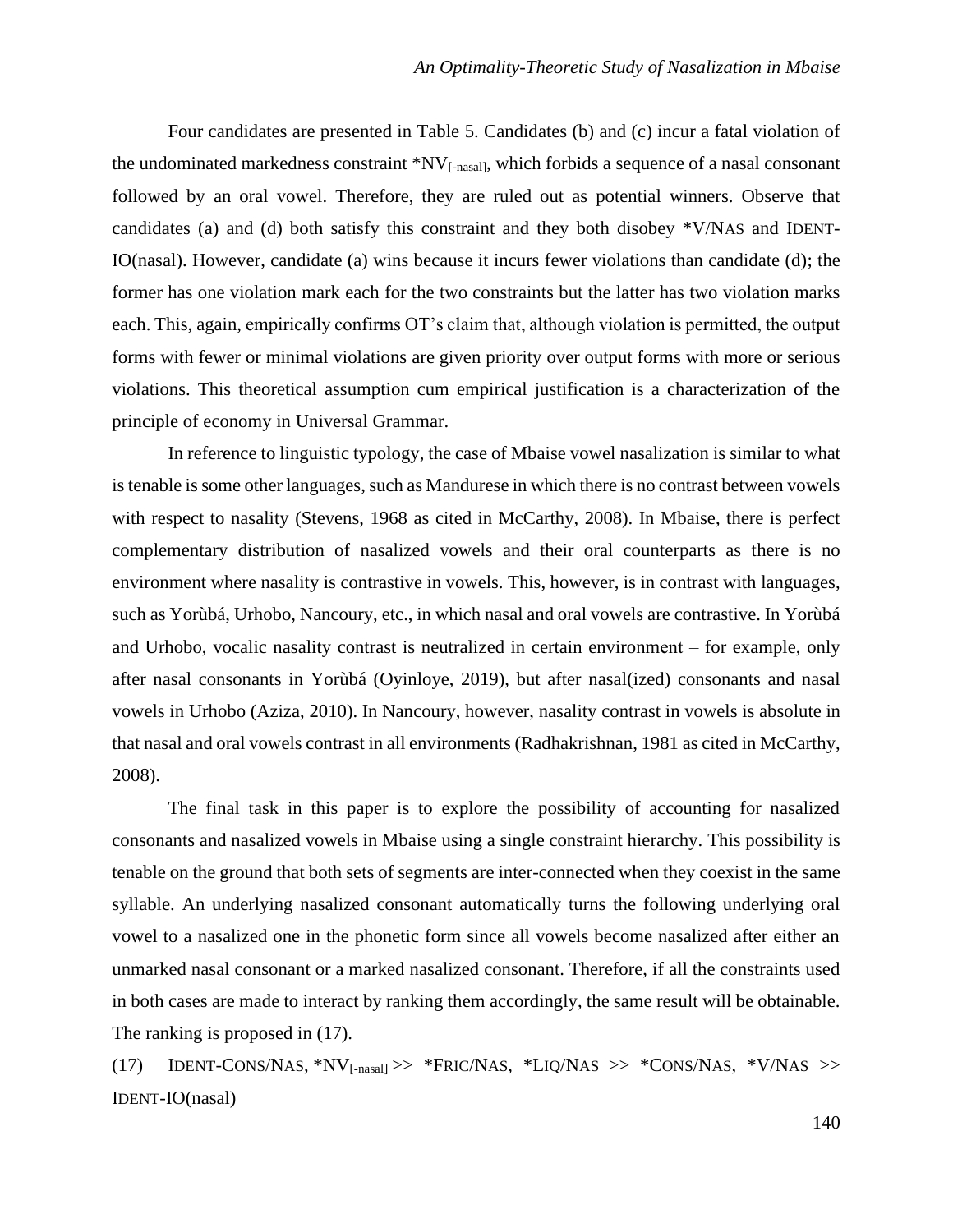Four candidates are presented in Table 5. Candidates (b) and (c) incur a fatal violation of the undominated markedness constraint \*NV[-nasal], which forbids a sequence of a nasal consonant followed by an oral vowel. Therefore, they are ruled out as potential winners. Observe that candidates (a) and (d) both satisfy this constraint and they both disobey \*V/NAS and IDENT-IO(nasal). However, candidate (a) wins because it incurs fewer violations than candidate (d); the former has one violation mark each for the two constraints but the latter has two violation marks each. This, again, empirically confirms OT's claim that, although violation is permitted, the output forms with fewer or minimal violations are given priority over output forms with more or serious violations. This theoretical assumption cum empirical justification is a characterization of the principle of economy in Universal Grammar.

In reference to linguistic typology, the case of Mbaise vowel nasalization is similar to what is tenable is some other languages, such as Mandurese in which there is no contrast between vowels with respect to nasality (Stevens, 1968 as cited in McCarthy, 2008). In Mbaise, there is perfect complementary distribution of nasalized vowels and their oral counterparts as there is no environment where nasality is contrastive in vowels. This, however, is in contrast with languages, such as Yorùbá, Urhobo, Nancoury, etc., in which nasal and oral vowels are contrastive. In Yorùbá and Urhobo, vocalic nasality contrast is neutralized in certain environment – for example, only after nasal consonants in Yorùbá (Oyinloye, 2019), but after nasal(ized) consonants and nasal vowels in Urhobo (Aziza, 2010). In Nancoury, however, nasality contrast in vowels is absolute in that nasal and oral vowels contrast in all environments (Radhakrishnan, 1981 as cited in McCarthy, 2008).

The final task in this paper is to explore the possibility of accounting for nasalized consonants and nasalized vowels in Mbaise using a single constraint hierarchy. This possibility is tenable on the ground that both sets of segments are inter-connected when they coexist in the same syllable. An underlying nasalized consonant automatically turns the following underlying oral vowel to a nasalized one in the phonetic form since all vowels become nasalized after either an unmarked nasal consonant or a marked nasalized consonant. Therefore, if all the constraints used in both cases are made to interact by ranking them accordingly, the same result will be obtainable. The ranking is proposed in  $(17)$ .

(17) IDENT-CONS/NAS,  $N_{[-\text{nasal}]}>>$  \*FRIC/NAS, \*LIQ/NAS >> \*CONS/NAS, \*V/NAS >> IDENT-IO(nasal)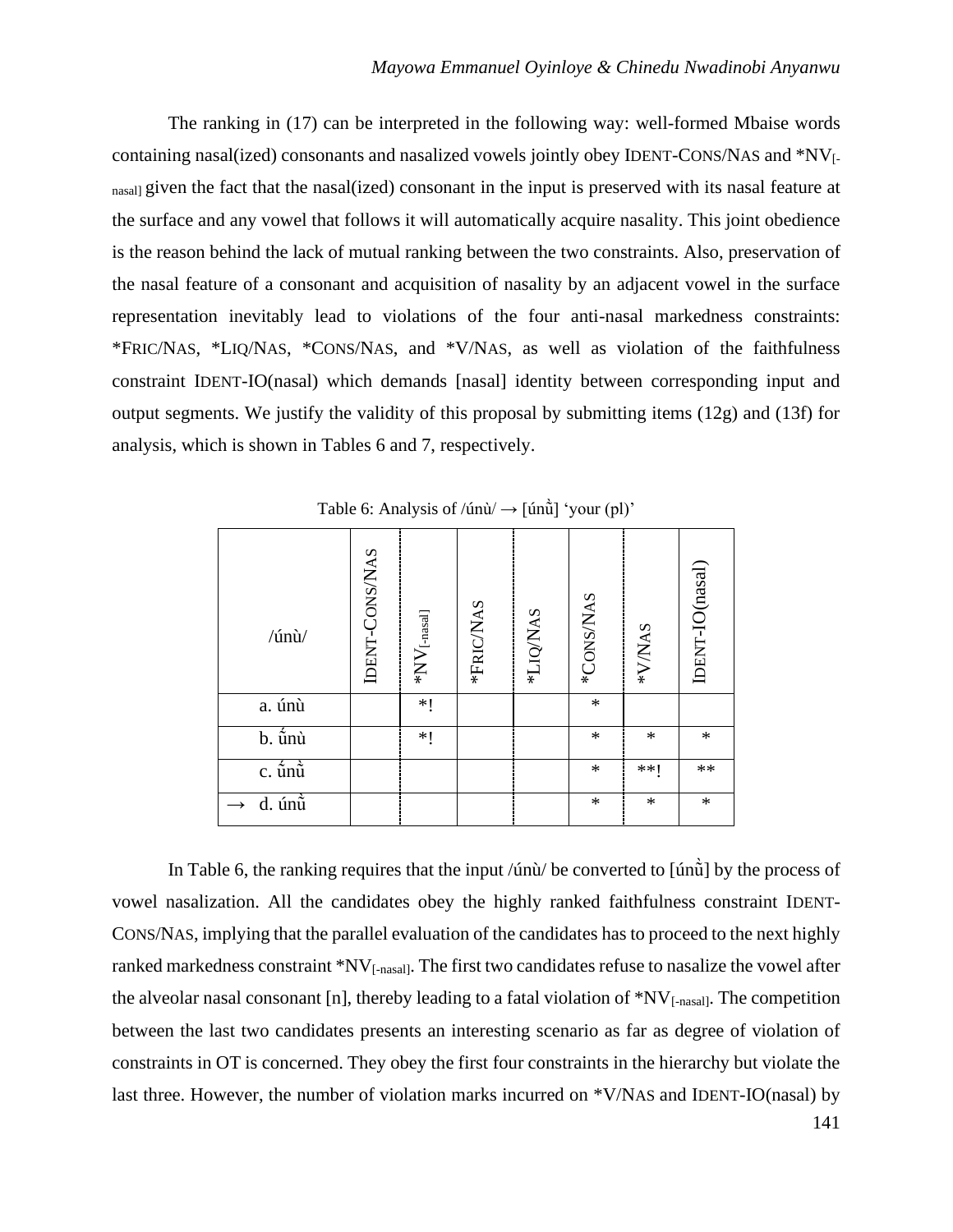The ranking in (17) can be interpreted in the following way: well-formed Mbaise words containing nasal(ized) consonants and nasalized vowels jointly obey IDENT-CONS/NAS and \*NV[ nasal] given the fact that the nasal(ized) consonant in the input is preserved with its nasal feature at the surface and any vowel that follows it will automatically acquire nasality. This joint obedience is the reason behind the lack of mutual ranking between the two constraints. Also, preservation of the nasal feature of a consonant and acquisition of nasality by an adjacent vowel in the surface representation inevitably lead to violations of the four anti-nasal markedness constraints: \*FRIC/NAS, \*LIQ/NAS, \*CONS/NAS, and \*V/NAS, as well as violation of the faithfulness constraint IDENT-IO(nasal) which demands [nasal] identity between corresponding input and output segments. We justify the validity of this proposal by submitting items (12g) and (13f) for analysis, which is shown in Tables 6 and 7, respectively.

| /únù/                                      | IDENT-CONS/NAS | $*NV$ [-nasal] | *FRIC/NAS | *LIQ/NAS | *CONS/NAS | *V/NAS | IDENT-IO(nasal) |
|--------------------------------------------|----------------|----------------|-----------|----------|-----------|--------|-----------------|
| a. únù                                     |                | $*!$           |           |          | $\ast$    |        |                 |
| b. ū́nù                                    |                | *!             |           |          | $\ast$    | $\ast$ | $\ast$          |
| $c. \hat{\tilde{u}}$ n $\tilde{\tilde{u}}$ |                |                |           |          | $\ast$    | **1    | $**$            |
| d. únù                                     |                |                |           |          | $\ast$    | $\ast$ | $\ast$          |

Table 6: Analysis of  $/$ únù $/$   $\rightarrow$  [únůi] 'your (pl)'

In Table 6, the ranking requires that the input /únù/ be converted to  $\lceil$  un $\ddot{\rm u}\rceil$  by the process of vowel nasalization. All the candidates obey the highly ranked faithfulness constraint IDENT-CONS/NAS, implying that the parallel evaluation of the candidates has to proceed to the next highly ranked markedness constraint \*NV[-nasal]. The first two candidates refuse to nasalize the vowel after the alveolar nasal consonant [n], thereby leading to a fatal violation of  $N_{\text{I-nasal}}$ . The competition between the last two candidates presents an interesting scenario as far as degree of violation of constraints in OT is concerned. They obey the first four constraints in the hierarchy but violate the last three. However, the number of violation marks incurred on \*V/NAS and IDENT-IO(nasal) by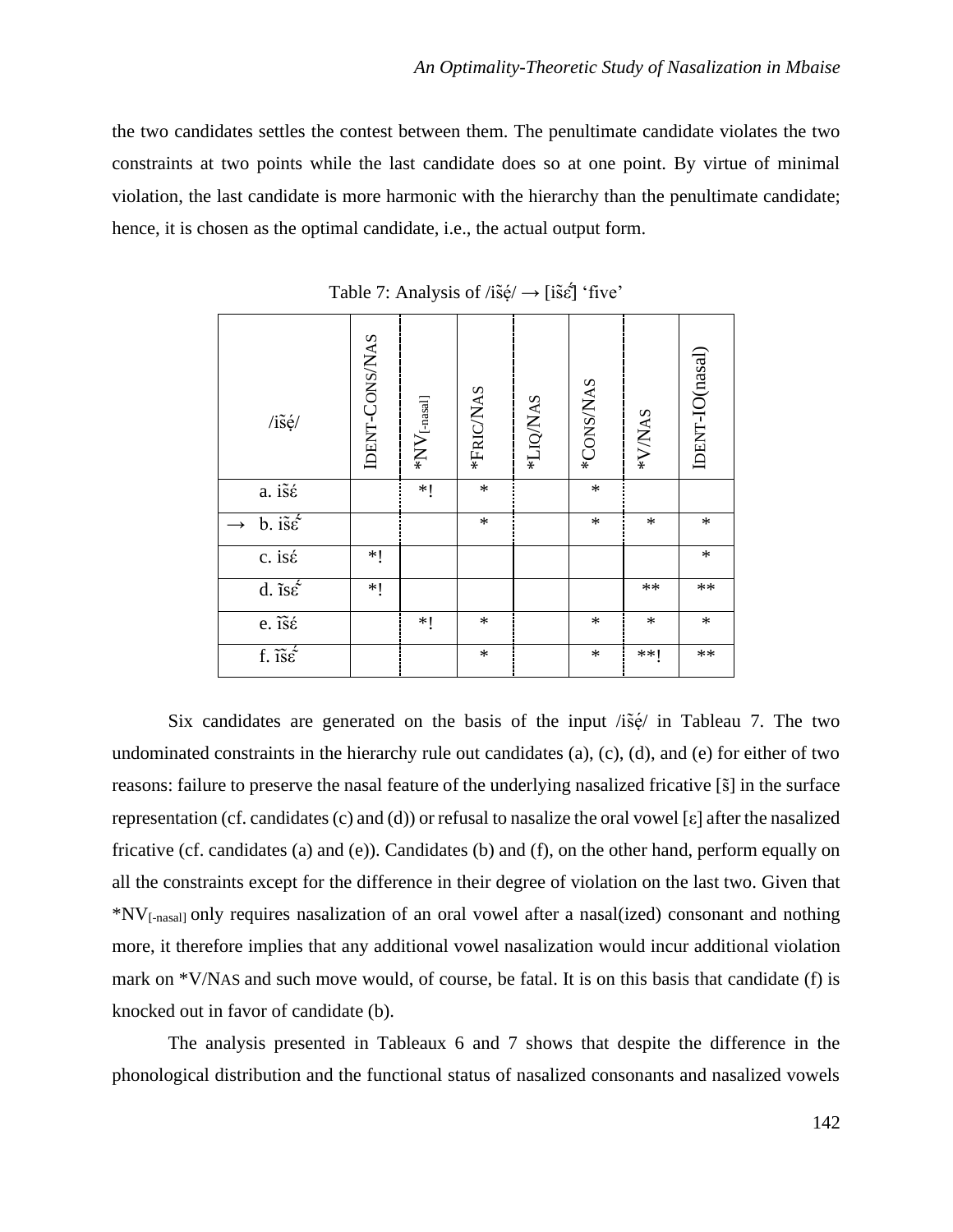the two candidates settles the contest between them. The penultimate candidate violates the two constraints at two points while the last candidate does so at one point. By virtue of minimal violation, the last candidate is more harmonic with the hierarchy than the penultimate candidate; hence, it is chosen as the optimal candidate, i.e., the actual output form.

| $/i\tilde{s}$ é/                                | IDENT-CONS/NAS | $*NV$ [-nasal] | *FRIC/NAS | *LIQ/NAS | *CONS/NAS | *V/NAS     | IDENT-IO(nasal) |
|-------------------------------------------------|----------------|----------------|-----------|----------|-----------|------------|-----------------|
| $a. i\tilde{s}\acute{\epsilon}$                 |                | $*$            | $\ast$    |          | $\ast$    |            |                 |
| $\overline{b}$ . is $\acute{\epsilon}$          |                |                | $\ast$    |          | $\ast$    | $\ast$     | $\ast$          |
| c. isé                                          | $*!$           |                |           |          |           |            | $\ast$          |
| d. $\overline{\text{is}\hat{\varepsilon}}$      | $*!$           |                |           |          |           | $\ast\ast$ | $**$            |
| e. $\widetilde{\mathrm{is}}\acute{\varepsilon}$ |                | $*!$           | $\ast$    |          | $\ast$    | $\ast$     | $\ast$          |
| f. $\tilde{\text{1s}}\tilde{\epsilon}$          |                |                | $\ast$    |          | $\ast$    | **!        | $\ast\ast$      |

Table 7: Analysis of  $\ell$ is̃ę́ $\rightarrow$  [is̃ $\epsilon$ ] 'five'

Six candidates are generated on the basis of the input /is̆e<sup> $\ell$ </sup> in Tableau 7. The two undominated constraints in the hierarchy rule out candidates (a), (c), (d), and (e) for either of two reasons: failure to preserve the nasal feature of the underlying nasalized fricative [s͂] in the surface representation (cf. candidates (c) and (d)) or refusal to nasalize the oral vowel [ε] after the nasalized fricative (cf. candidates (a) and (e)). Candidates (b) and (f), on the other hand, perform equally on all the constraints except for the difference in their degree of violation on the last two. Given that \*NV[-nasal] only requires nasalization of an oral vowel after a nasal(ized) consonant and nothing more, it therefore implies that any additional vowel nasalization would incur additional violation mark on \*V/NAS and such move would, of course, be fatal. It is on this basis that candidate (f) is knocked out in favor of candidate (b).

The analysis presented in Tableaux 6 and 7 shows that despite the difference in the phonological distribution and the functional status of nasalized consonants and nasalized vowels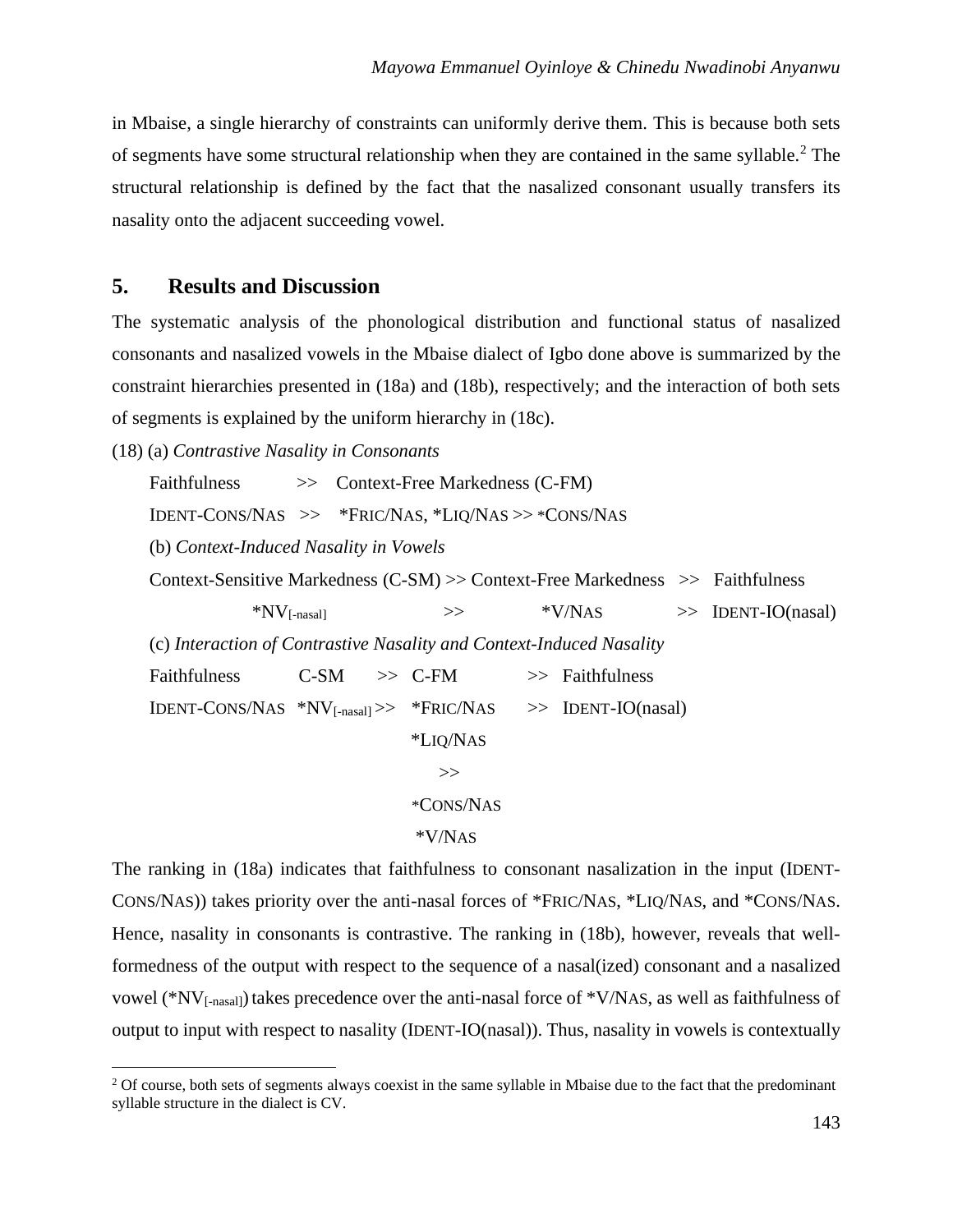in Mbaise, a single hierarchy of constraints can uniformly derive them. This is because both sets of segments have some structural relationship when they are contained in the same syllable.<sup>2</sup> The structural relationship is defined by the fact that the nasalized consonant usually transfers its nasality onto the adjacent succeeding vowel.

## **5. Results and Discussion**

The systematic analysis of the phonological distribution and functional status of nasalized consonants and nasalized vowels in the Mbaise dialect of Igbo done above is summarized by the constraint hierarchies presented in (18a) and (18b), respectively; and the interaction of both sets of segments is explained by the uniform hierarchy in (18c).

(18) (a) *Contrastive Nasality in Consonants*

Faithfulness  $\gg$  Context-Free Markedness (C-FM)

IDENT-CONS/NAS >> \*FRIC/NAS, \*LIQ/NAS >> \*CONS/NAS

(b) *Context-Induced Nasality in Vowels*

Context-Sensitive Markedness (C-SM) >> Context-Free Markedness >> Faithfulness

 $*NV_{[-nasall]} \rightarrow\qquad$   $*VNAS \rightarrow IDENT-IO(nasal)$  (c) *Interaction of Contrastive Nasality and Context-Induced Nasality* Faithfulness C-SM  $\gg$  C-FM  $\gg$  Faithfulness  $IDENT\text{-}Cons/NAS$  \* $NV_{\text{-}nasall} \gg$  \* $FRIC/NAS$  >> IDENT-IO(nasal) \*LIQ/NAS >> \*CONS/NAS \*V/NAS

The ranking in (18a) indicates that faithfulness to consonant nasalization in the input (IDENT-CONS/NAS)) takes priority over the anti-nasal forces of \*FRIC/NAS, \*LIQ/NAS, and \*CONS/NAS. Hence, nasality in consonants is contrastive. The ranking in (18b), however, reveals that wellformedness of the output with respect to the sequence of a nasal(ized) consonant and a nasalized vowel (\*NV<sub>[-nasal]</sub>) takes precedence over the anti-nasal force of \*V/NAS, as well as faithfulness of output to input with respect to nasality (IDENT-IO(nasal)). Thus, nasality in vowels is contextually

<sup>&</sup>lt;sup>2</sup> Of course, both sets of segments always coexist in the same syllable in Mbaise due to the fact that the predominant syllable structure in the dialect is CV.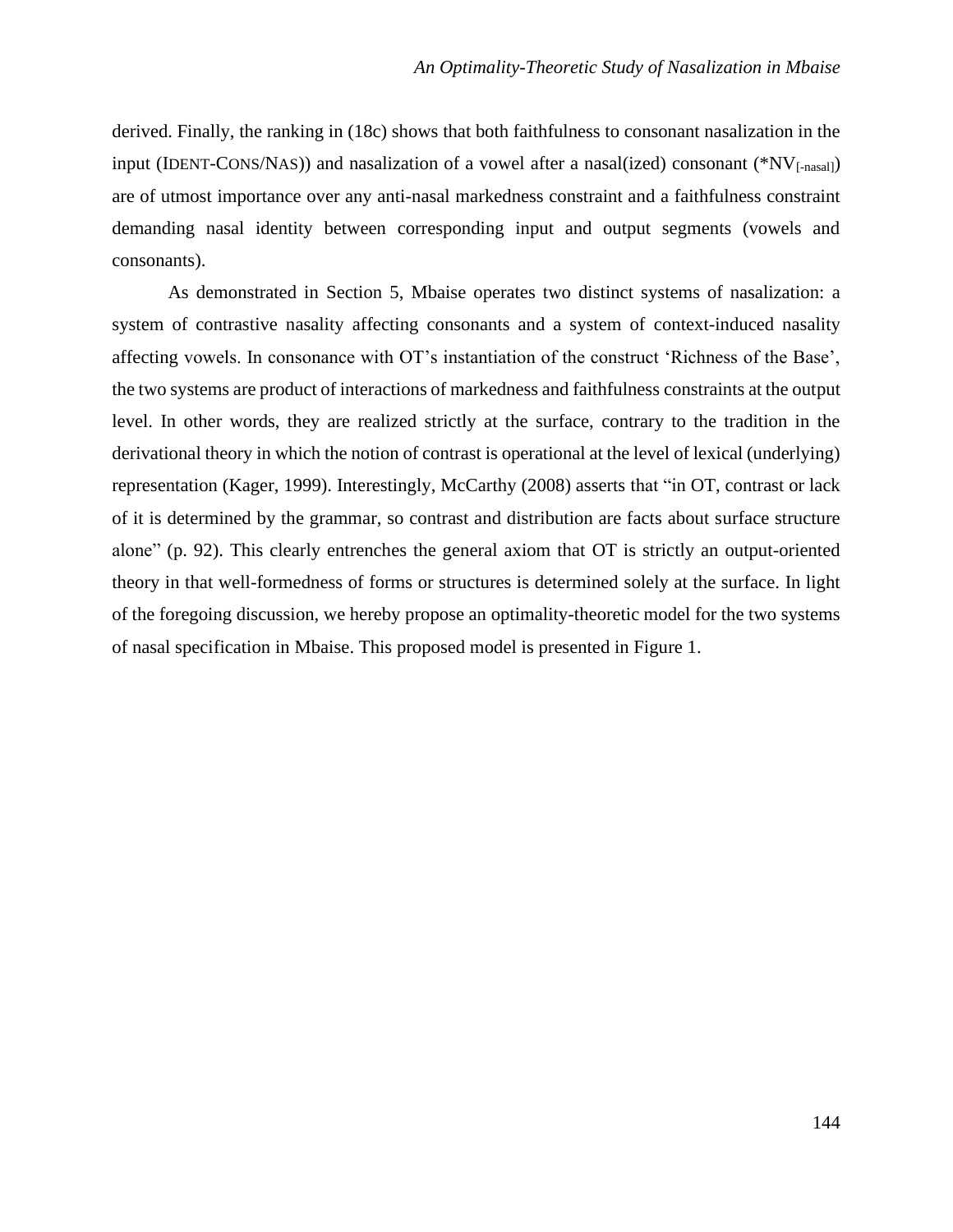derived. Finally, the ranking in (18c) shows that both faithfulness to consonant nasalization in the input (IDENT-CONS/NAS)) and nasalization of a vowel after a nasal(ized) consonant (\*NV $_{[-\text{nasall}]})$ are of utmost importance over any anti-nasal markedness constraint and a faithfulness constraint demanding nasal identity between corresponding input and output segments (vowels and consonants).

As demonstrated in Section 5, Mbaise operates two distinct systems of nasalization: a system of contrastive nasality affecting consonants and a system of context-induced nasality affecting vowels. In consonance with OT's instantiation of the construct 'Richness of the Base', the two systems are product of interactions of markedness and faithfulness constraints at the output level. In other words, they are realized strictly at the surface, contrary to the tradition in the derivational theory in which the notion of contrast is operational at the level of lexical (underlying) representation (Kager, 1999). Interestingly, McCarthy (2008) asserts that "in OT, contrast or lack of it is determined by the grammar, so contrast and distribution are facts about surface structure alone" (p. 92). This clearly entrenches the general axiom that OT is strictly an output-oriented theory in that well-formedness of forms or structures is determined solely at the surface. In light of the foregoing discussion, we hereby propose an optimality-theoretic model for the two systems of nasal specification in Mbaise. This proposed model is presented in Figure 1.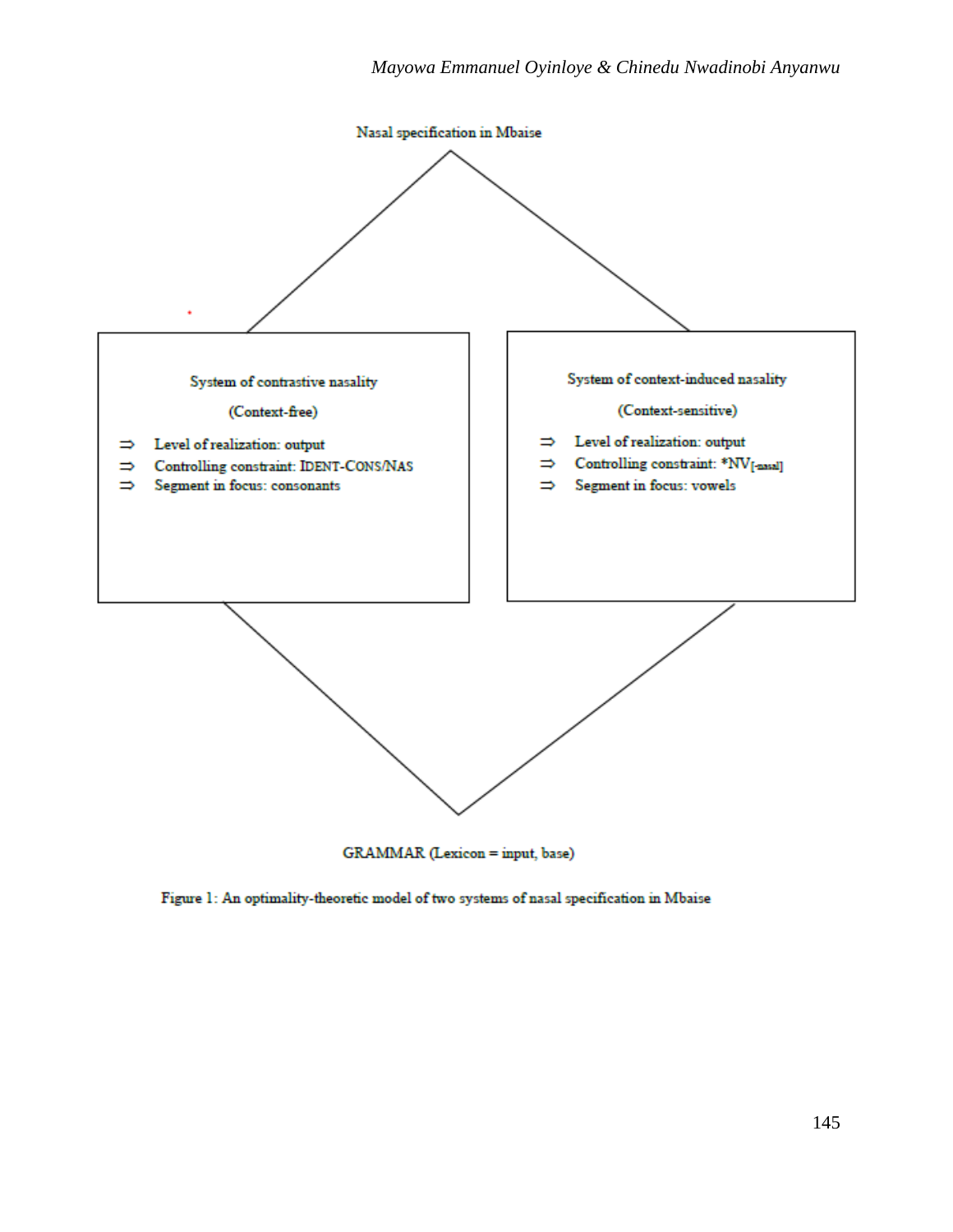

GRAMMAR (Lexicon = input, base)

Figure 1: An optimality-theoretic model of two systems of nasal specification in Mbaise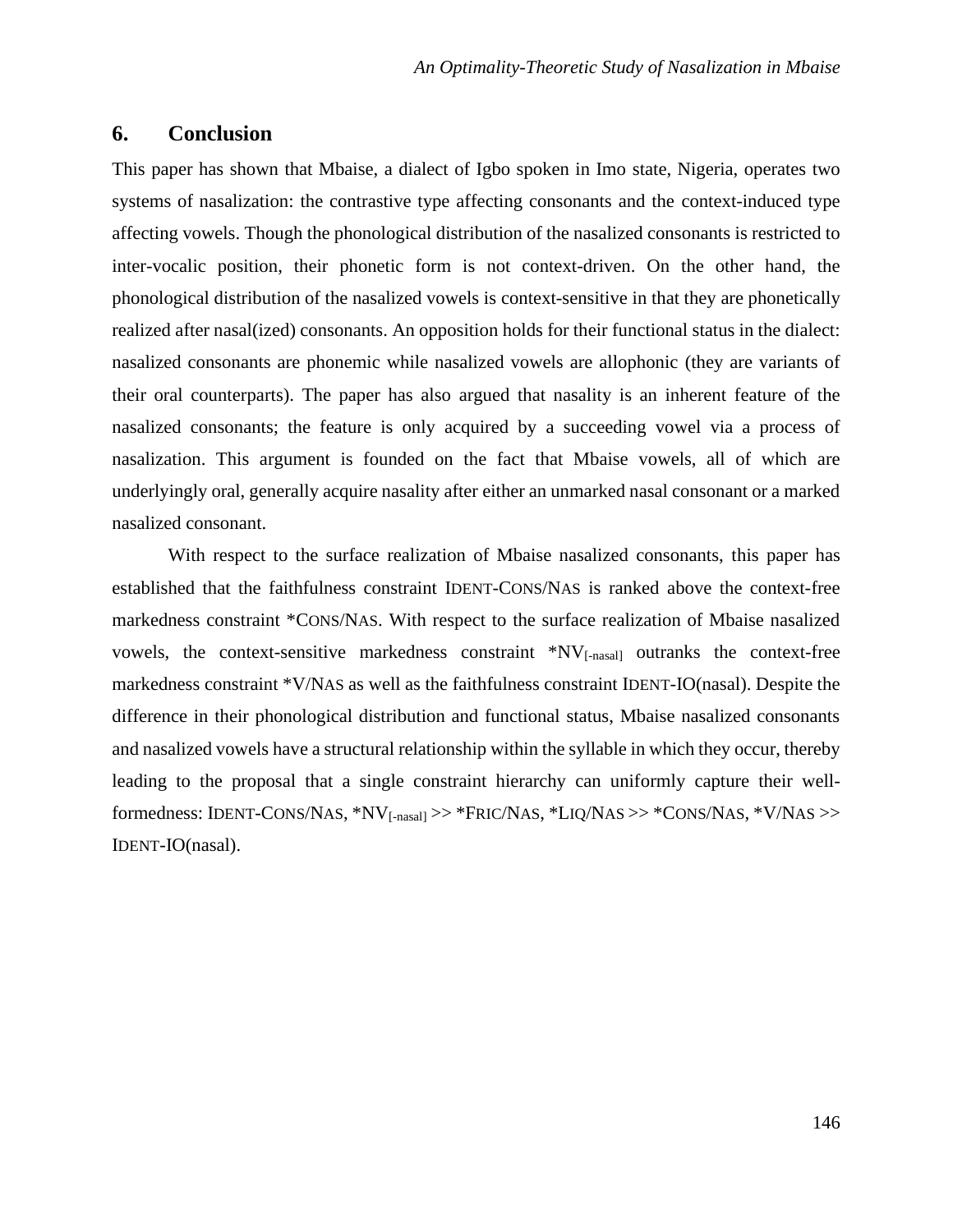## **6. Conclusion**

This paper has shown that Mbaise, a dialect of Igbo spoken in Imo state, Nigeria, operates two systems of nasalization: the contrastive type affecting consonants and the context-induced type affecting vowels. Though the phonological distribution of the nasalized consonants is restricted to inter-vocalic position, their phonetic form is not context-driven. On the other hand, the phonological distribution of the nasalized vowels is context-sensitive in that they are phonetically realized after nasal(ized) consonants. An opposition holds for their functional status in the dialect: nasalized consonants are phonemic while nasalized vowels are allophonic (they are variants of their oral counterparts). The paper has also argued that nasality is an inherent feature of the nasalized consonants; the feature is only acquired by a succeeding vowel via a process of nasalization. This argument is founded on the fact that Mbaise vowels, all of which are underlyingly oral, generally acquire nasality after either an unmarked nasal consonant or a marked nasalized consonant.

With respect to the surface realization of Mbaise nasalized consonants, this paper has established that the faithfulness constraint IDENT-CONS/NAS is ranked above the context-free markedness constraint \*CONS/NAS. With respect to the surface realization of Mbaise nasalized vowels, the context-sensitive markedness constraint \*NV[-nasal] outranks the context-free markedness constraint \*V/NAS as well as the faithfulness constraint IDENT-IO(nasal). Despite the difference in their phonological distribution and functional status, Mbaise nasalized consonants and nasalized vowels have a structural relationship within the syllable in which they occur, thereby leading to the proposal that a single constraint hierarchy can uniformly capture their wellformedness: IDENT-CONS/NAS, \*NV[-nasal] >> \*FRIC/NAS, \*LIQ/NAS >> \*CONS/NAS, \*V/NAS >> IDENT-IO(nasal).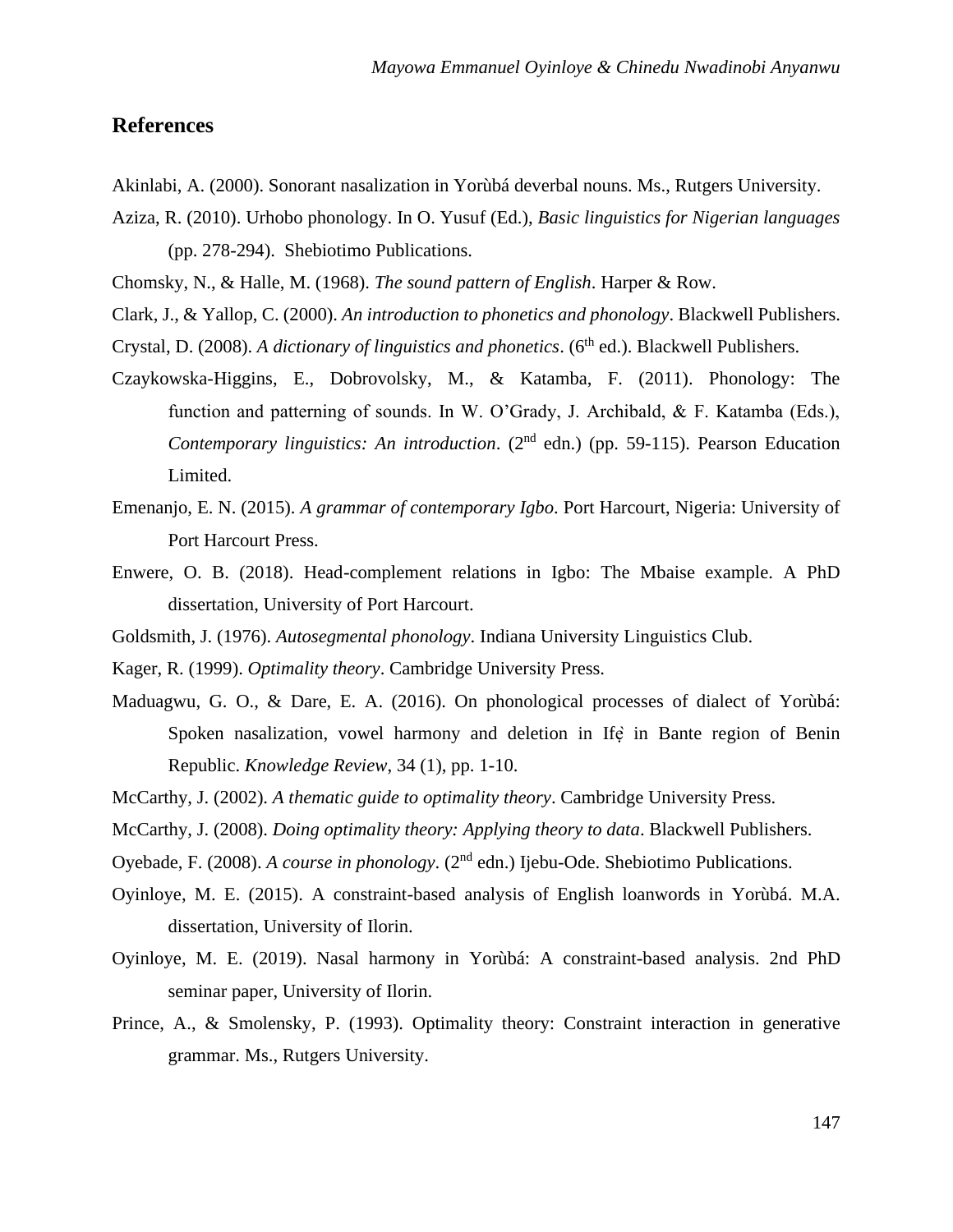## **References**

- Akinlabi, A. (2000). Sonorant nasalization in Yorùbá deverbal nouns. Ms., Rutgers University.
- Aziza, R. (2010). Urhobo phonology. In O. Yusuf (Ed.), *Basic linguistics for Nigerian languages*  (pp. 278-294). Shebiotimo Publications.

Chomsky, N., & Halle, M. (1968). *The sound pattern of English*. Harper & Row.

Clark, J., & Yallop, C. (2000). *An introduction to phonetics and phonology*. Blackwell Publishers.

- Crystal, D. (2008). *A dictionary of linguistics and phonetics*. (6<sup>th</sup> ed.). Blackwell Publishers.
- Czaykowska-Higgins, E., Dobrovolsky, M., & Katamba, F. (2011). Phonology: The function and patterning of sounds. In W. O'Grady, J. Archibald, & F. Katamba (Eds.), *Contemporary linguistics: An introduction.* (2<sup>nd</sup> edn.) (pp. 59-115). Pearson Education Limited.
- Emenanjo, E. N. (2015). *A grammar of contemporary Igbo*. Port Harcourt, Nigeria: University of Port Harcourt Press.
- Enwere, O. B. (2018). Head-complement relations in Igbo: The Mbaise example. A PhD dissertation, University of Port Harcourt.
- Goldsmith, J. (1976). *Autosegmental phonology*. Indiana University Linguistics Club.
- Kager, R. (1999). *Optimality theory*. Cambridge University Press.
- Maduagwu, G. O., & Dare, E. A. (2016). On phonological processes of dialect of Yorùbá: Spoken nasalization, vowel harmony and deletion in Ife in Bante region of Benin Republic. *Knowledge Review*, 34 (1), pp. 1-10.
- McCarthy, J. (2002). *A thematic guide to optimality theory*. Cambridge University Press.
- McCarthy, J. (2008). *Doing optimality theory: Applying theory to data*. Blackwell Publishers.
- Oyebade, F. (2008). *A course in phonology*. (2<sup>nd</sup> edn.) Ijebu-Ode. Shebiotimo Publications.
- Oyinloye, M. E. (2015). A constraint-based analysis of English loanwords in Yorùbá. M.A. dissertation, University of Ilorin.
- Oyinloye, M. E. (2019). Nasal harmony in Yorùbá: A constraint-based analysis. 2nd PhD seminar paper, University of Ilorin.
- Prince, A., & Smolensky, P. (1993). Optimality theory: Constraint interaction in generative grammar. Ms., Rutgers University.